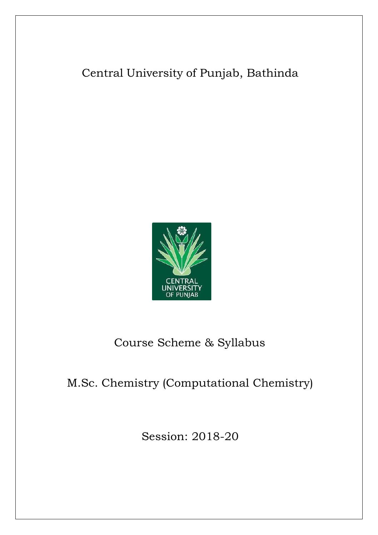# Central University of Punjab, Bathinda



# Course Scheme & Syllabus

# M.Sc. Chemistry (Computational Chemistry)

Session: 2018-20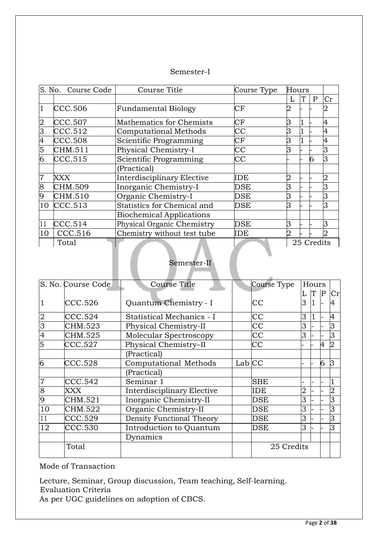### Semester-I

| S. No. Course Code |         | Course Title                    | Course Type          | Hours |   |            |    |
|--------------------|---------|---------------------------------|----------------------|-------|---|------------|----|
|                    |         |                                 |                      |       | T | P          | Cr |
|                    | CCC.506 | <b>Fundamental Biology</b>      | $\rm CF$             |       |   |            |    |
|                    | CCC.507 | Mathematics for Chemists        | СF                   | З     |   |            | 4  |
| З                  | CCC.512 | <b>Computational Methods</b>    | $\rm CC$             | B     |   |            |    |
|                    | CCC.508 | Scientific Programming          | СF                   | B     |   |            |    |
| 5                  | CHM.511 | Physical Chemistry-I            | CC                   | ß     |   |            |    |
| 6                  | CCC.515 | Scientific Programming          | СC                   |       |   | 6          | lЗ |
|                    |         | (Practical)                     |                      |       |   |            |    |
|                    | XXX     | Interdisciplinary Elective      | IDE                  |       |   |            |    |
| 8                  | CHM.509 | Inorganic Chemistry-I           | DSE                  |       |   |            |    |
|                    | CHM.510 | Organic Chemistry-I             | $\operatorname{DSE}$ | R     |   |            |    |
| 10                 | CCC.513 | Statistics for Chemical and     | <b>DSE</b>           | B     |   |            | 3  |
|                    |         | <b>Biochemical Applications</b> |                      |       |   |            |    |
| 11                 | CCC.514 | Physical Organic Chemistry      | DSE                  | ß     |   |            | 3  |
| 10                 | CCC.516 | Chemistry without test tube     | IDE                  | 2     |   |            |    |
|                    | Total   |                                 |                      |       |   | 25 Credits |    |

### Semester-II

| S. No. Course Code |         | <b>Course Title</b>        |        | Course Type |                | Hours |             |    |
|--------------------|---------|----------------------------|--------|-------------|----------------|-------|-------------|----|
|                    |         |                            |        |             |                | T     | $ {\bf P} $ | Cr |
|                    | CCC.526 | Quantum Chemistry - I      |        | СC          | 3              | 1     |             |    |
| $\overline{2}$     | CCC.524 | Statistical Mechanics - I  |        | CC          | 3              | 1     |             | 4  |
| 3                  | CHM.523 | Physical Chemistry-II      |        | СC          | 3              |       |             | З  |
| 4                  | CHM.525 | Molecular Spectroscopy     |        | $\rm CC$    | 3              |       |             | З  |
| 5                  | CCC.527 | Physical Chemistry-II      |        | $\rm CC$    |                |       | 4           |    |
|                    |         | (Practical)                |        |             |                |       |             |    |
| 6                  | CCC.528 | Computational Methods      | Lab CC |             |                |       | 6           | IЗ |
|                    |         | (Practical)                |        |             |                |       |             |    |
| $\overline{7}$     | CCC.542 | Seminar 1                  |        | <b>SBE</b>  |                |       |             |    |
| 8                  | XXX     | Interdisciplinary Elective |        | IDE         | $\overline{2}$ |       |             | 2  |
| 9                  | CHM.521 | Inorganic Chemistry-II     |        | DSE         | 3              |       |             | 3  |
| 10                 | CHM.522 | Organic Chemistry-II       |        | DSE         | 3              |       |             | 3  |
|                    | CCC.529 | Density Functional Theory  |        | DSE         | 3              |       |             | 3  |
| 12                 | CCC.530 | Introduction to Quantum    |        | DSE         | 3              |       |             | З  |
|                    |         | Dynamics                   |        |             |                |       |             |    |
|                    | Total   |                            |        | 25 Credits  |                |       |             |    |

Mode of Transaction

Lecture, Seminar, Group discussion, Team teaching, Self-learning. Evaluation Criteria

As per UGC guidelines on adoption of CBCS.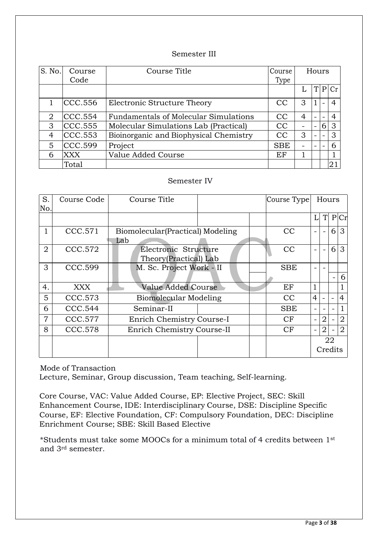### Semester III

| S. No. | Course<br>Code | Course Title                           | Course<br>Type | Hours |                          |   |   |
|--------|----------------|----------------------------------------|----------------|-------|--------------------------|---|---|
|        |                |                                        |                |       |                          | P |   |
|        | CCC.556        | Electronic Structure Theory            | CC             | 3     |                          |   |   |
| 2      | CCC.554        | Fundamentals of Molecular Simulations  | CC             | 4     |                          |   |   |
| 3      | CCC.555        | Molecular Simulations Lab (Practical)  | <b>CC</b>      |       |                          | 6 | 3 |
| 4      | CCC.553        | Bioinorganic and Biophysical Chemistry | CC             | 3     | $\overline{\phantom{0}}$ |   | 3 |
| 5      | CCC.599        | Project                                | <b>SBE</b>     |       |                          |   | 6 |
| 6      | XXX            | Value Added Course                     | EF             |       |                          |   |   |
|        | Total          |                                        |                |       |                          |   | ∩ |

### Semester IV

| S.<br>No.      | Course Code | Course Title<br>Course Type                   |                           |  |            |                |                | Hours                    |                |
|----------------|-------------|-----------------------------------------------|---------------------------|--|------------|----------------|----------------|--------------------------|----------------|
|                |             |                                               |                           |  |            | L              | T              |                          | P Cr           |
|                | CCC.571     | Biomolecular (Practical) Modeling<br>Lab      |                           |  | CC         |                |                | 6                        | 3              |
| $\overline{2}$ | CCC.572     | Electronic Structure<br>Theory(Practical) Lab |                           |  | CC         |                |                | $6\vert$                 | $\mathbf{3}$   |
| 3              | CCC.599     | M. Sc. Project Work - II                      |                           |  | <b>SBE</b> |                |                |                          |                |
|                |             |                                               |                           |  |            |                |                | $\overline{\phantom{0}}$ | 6              |
| 4.             | XXX.        | Value Added Course                            |                           |  | EF         |                |                |                          |                |
| 5              | CCC.573     | Biomolecular Modeling                         |                           |  | CC         | $\overline{4}$ |                |                          | $\overline{4}$ |
| 6              | CCC.544     | Seminar-II                                    |                           |  | <b>SBE</b> |                |                | $\overline{\phantom{0}}$ | $\mathbf{1}$   |
| 7              | CCC.577     |                                               | Enrich Chemistry Course-I |  | CF         |                | $\overline{2}$ |                          | $\overline{2}$ |
| 8              | CCC.578     | Enrich Chemistry Course-II                    |                           |  | CF         |                | $\overline{2}$ |                          | $\overline{2}$ |
|                |             |                                               |                           |  |            |                |                | 22                       |                |
|                |             |                                               |                           |  |            |                |                | Credits                  |                |

Mode of Transaction

Lecture, Seminar, Group discussion, Team teaching, Self-learning.

Core Course, VAC: Value Added Course, EP: Elective Project, SEC: Skill Enhancement Course, IDE: Interdisciplinary Course, DSE: Discipline Specific Course, EF: Elective Foundation, CF: Compulsory Foundation, DEC: Discipline Enrichment Course; SBE: Skill Based Elective

\*Students must take some MOOCs for a minimum total of 4 credits between 1st and 3rd semester.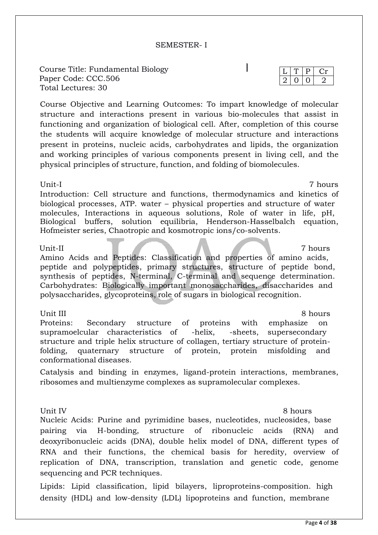Page **4** of **38**

### SEMESTER- I

Course Title: Fundamental Biology Paper Code: CCC.506 Total Lectures: 30

Course Objective and Learning Outcomes: To impart knowledge of molecular structure and interactions present in various bio-molecules that assist in functioning and organization of biological cell. After, completion of this course the students will acquire knowledge of molecular structure and interactions present in proteins, nucleic acids, carbohydrates and lipids, the organization and working principles of various components present in living cell, and the physical principles of structure, function, and folding of biomolecules.

### Unit-I 7 hours

Introduction: Cell structure and functions, thermodynamics and kinetics of biological processes, ATP. water – physical properties and structure of water molecules, Interactions in aqueous solutions, Role of water in life, pH, Biological buffers, solution equilibria, Henderson-Hasselbalch equation, Hofmeister series, Chaotropic and kosmotropic ions/co-solvents.

Amino Acids and Peptides: Classification and properties of amino acids, peptide and polypeptides, primary structures, structure of peptide bond, synthesis of peptides, N-terminal, C-terminal and sequence determination. Carbohydrates: Biologically important monosaccharides, disaccharides and polysaccharides, glycoproteins, role of sugars in biological recognition.

### Unit III 8 hours

Proteins: Secondary structure of proteins with emphasize on supramoelcular characteristics of -helix, -sheets, supersecondary structure and triple helix structure of collagen, tertiary structure of proteinfolding, quaternary structure of protein, protein misfolding and conformational diseases.

Catalysis and binding in enzymes, ligand-protein interactions, membranes, ribosomes and multienzyme complexes as supramolecular complexes.

Unit IV 8 hours

Nucleic Acids: Purine and pyrimidine bases, nucleotides, nucleosides, base pairing via H-bonding, structure of ribonucleic acids (RNA) and deoxyribonucleic acids (DNA), double helix model of DNA, different types of RNA and their functions, the chemical basis for heredity, overview of replication of DNA, transcription, translation and genetic code, genome sequencing and PCR techniques.

Lipids: Lipid classification, lipid bilayers, liproproteins-composition. high density (HDL) and low-density (LDL) lipoproteins and function, membrane

Unit-II 7 hours 7 hours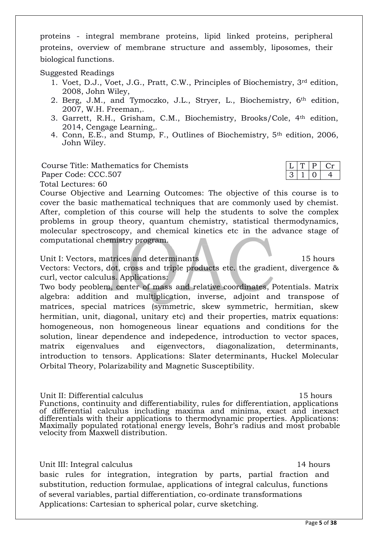proteins - integral membrane proteins, lipid linked proteins, peripheral proteins, overview of membrane structure and assembly, liposomes, their biological functions.

Suggested Readings

- 1. Voet, D.J., Voet, J.G., Pratt, C.W., Principles of Biochemistry, 3rd edition, 2008, John Wiley,
- 2. Berg, J.M., and Tymoczko, J.L., Stryer, L., Biochemistry, 6th edition, 2007, W.H. Freeman,.
- 3. Garrett, R.H., Grisham, C.M., Biochemistry, Brooks/Cole, 4th edition, 2014, Cengage Learning,.
- 4. Conn, E.E., and Stump, F., Outlines of Biochemistry, 5th edition, 2006, John Wiley.

Course Title: Mathematics for Chemists Paper Code: CCC.507 Total Lectures: 60

Course Objective and Learning Outcomes: The objective of this course is to cover the basic mathematical techniques that are commonly used by chemist. After, completion of this course will help the students to solve the complex problems in group theory, quantum chemistry, statistical thermodynamics, molecular spectroscopy, and chemical kinetics etc in the advance stage of computational chemistry program.

Unit I: Vectors, matrices and determinants 15 hours 15 hours

Vectors: Vectors, dot, cross and triple products etc. the gradient, divergence & curl, vector calculus. Applications:

Two body peoblem, center of mass and relative coordinates, Potentials. Matrix algebra: addition and multiplication, inverse, adjoint and transpose of matrices, special matrices (symmetric, skew symmetric, hermitian, skew hermitian, unit, diagonal, unitary etc) and their properties, matrix equations: homogeneous, non homogeneous linear equations and conditions for the solution, linear dependence and indepedence, introduction to vector spaces, matrix eigenvalues and eigenvectors, diagonalization, determinants, introduction to tensors. Applications: Slater determinants, Huckel Molecular Orbital Theory, Polarizability and Magnetic Susceptibility.

Unit II: Differential calculus 15 hours Functions, continuity and differentiability, rules for differentiation, applications of differential calculus including maxima and minima, exact and inexact differentials with their applications to thermodynamic properties. Applications: Maximally populated rotational energy levels, Bohr's radius and most probable velocity from Maxwell distribution.

Unit III: Integral calculus 14 hours

 $P \mid Cr$  $0 \mid 4$ 

basic rules for integration, integration by parts, partial fraction and substitution, reduction formulae, applications of integral calculus, functions of several variables, partial differentiation, co-ordinate transformations Applications: Cartesian to spherical polar, curve sketching.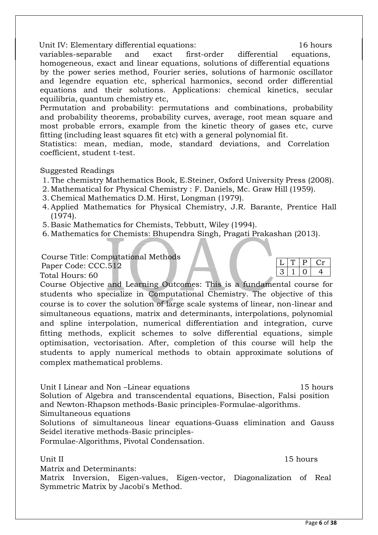Unit IV: Elementary differential equations: 16 hours

variables-separable and exact first-order differential equations, homogeneous, exact and linear equations, solutions of differential equations by the power series method, Fourier series, solutions of harmonic oscillator and legendre equation etc, spherical harmonics, second order differential equations and their solutions. Applications: chemical kinetics, secular equilibria, quantum chemistry etc,

Permutation and probability: permutations and combinations, probability and probability theorems, probability curves, average, root mean square and most probable errors, example from the kinetic theory of gases etc, curve fitting (including least squares fit etc) with a general polynomial fit.

Statistics: mean, median, mode, standard deviations, and Correlation coefficient, student t-test.

### Suggested Readings

- 1. The chemistry Mathematics Book, E.Steiner, Oxford University Press (2008).
- 2. Mathematical for Physical Chemistry : F. Daniels, Mc. Graw Hill (1959).
- 3. Chemical Mathematics D.M. Hirst, Longman (1979).
- 4. Applied Mathematics for Physical Chemistry, J.R. Barante, Prentice Hall (1974).
- 5. Basic Mathematics for Chemists, Tebbutt, Wiley (1994).
- 6. Mathematics for Chemists: Bhupendra Singh, Pragati Prakashan (2013).

Course Title: Computational Methods

Paper Code: CCC.512

Total Hours: 60

Course Objective and Learning Outcomes: This is a fundamental course for students who specialize in Computational Chemistry. The objective of this course is to cover the solution of large scale systems of linear, non-linear and simultaneous equations, matrix and determinants, interpolations, polynomial and spline interpolation, numerical differentiation and integration, curve fitting methods, explicit schemes to solve differential equations, simple optimisation, vectorisation. After, completion of this course will help the students to apply numerical methods to obtain approximate solutions of complex mathematical problems.

Unit I Linear and Non-Linear equations 15 hours Solution of Algebra and transcendental equations, Bisection, Falsi position and Newton-Rhapson methods-Basic principles-Formulae-algorithms.

Simultaneous equations

Solutions of simultaneous linear equations-Guass elimination and Gauss Seidel iterative methods-Basic principles-

Formulae-Algorithms, Pivotal Condensation.

### Unit II 15 hours

Matrix and Determinants:

Matrix Inversion, Eigen-values, Eigen-vector, Diagonalization of Real Symmetric Matrix by Jacobi's Method.

 $T | P | Cr$  $3 | 1 | 0$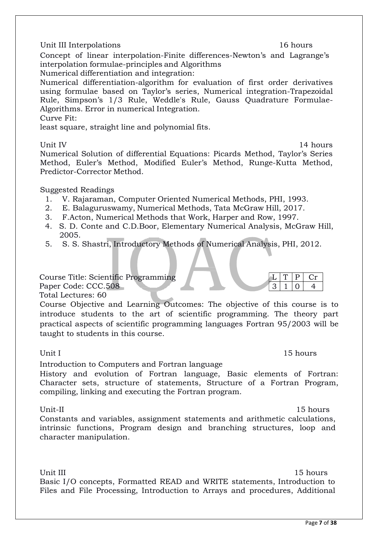### Unit III Interpolations 16 hours

Concept of linear interpolation-Finite differences-Newton's and Lagrange's interpolation formulae-principles and Algorithms

Numerical differentiation and integration:

Numerical differentiation-algorithm for evaluation of first order derivatives using formulae based on Taylor's series, Numerical integration-Trapezoidal Rule, Simpson's 1/3 Rule, Weddle's Rule, Gauss Quadrature Formulae-Algorithms. Error in numerical Integration.

Curve Fit:

least square, straight line and polynomial fits.

Unit IV 14 hours

 $Cr$ 

 $3 | 1 | 0 | 4$ 

Numerical Solution of differential Equations: Picards Method, Taylor's Series Method, Euler's Method, Modified Euler's Method, Runge-Kutta Method, Predictor-Corrector Method.

### Suggested Readings

- 1. V. Rajaraman, Computer Oriented Numerical Methods, PHI, 1993.
- 2. E. Balaguruswamy, Numerical Methods, Tata McGraw Hill, 2017.
- 3. F.Acton, Numerical Methods that Work, Harper and Row, 1997.
- 4. S. D. Conte and C.D.Boor, Elementary Numerical Analysis, McGraw Hill, 2005.
- 5. S. S. Shastri, Introductory Methods of Numerical Analysis, PHI, 2012.

Course Title: Scientific Programming

Paper Code: CCC.508

Total Lectures: 60

Course Objective and Learning Outcomes: The objective of this course is to introduce students to the art of scientific programming. The theory part practical aspects of scientific programming languages Fortran 95/2003 will be taught to students in this course.

### Unit I 15 hours

Introduction to Computers and Fortran language

History and evolution of Fortran language, Basic elements of Fortran: Character sets, structure of statements, Structure of a Fortran Program, compiling, linking and executing the Fortran program.

Unit-II 15 hours Constants and variables, assignment statements and arithmetic calculations, intrinsic functions, Program design and branching structures, loop and character manipulation.

Unit III 15 hours Basic I/O concepts, Formatted READ and WRITE statements, Introduction to Files and File Processing, Introduction to Arrays and procedures, Additional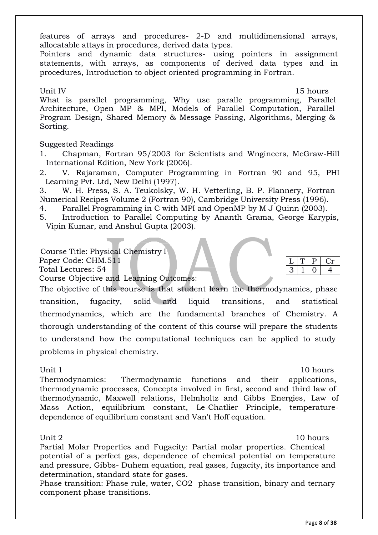features of arrays and procedures- 2-D and multidimensional arrays, allocatable attays in procedures, derived data types.

Pointers and dynamic data structures- using pointers in assignment statements, with arrays, as components of derived data types and in procedures, Introduction to object oriented programming in Fortran.

Unit IV 15 hours

What is parallel programming, Why use paralle programming, Parallel Architecture, Open MP & MPI, Models of Parallel Computation, Parallel Program Design, Shared Memory & Message Passing, Algorithms, Merging & Sorting.

### Suggested Readings

- 1. Chapman, Fortran 95/2003 for Scientists and Wngineers, McGraw-Hill International Edition, New York (2006).
- 2. V. Rajaraman, Computer Programming in Fortran 90 and 95, PHI Learning Pvt. Ltd, New Delhi (1997).

3. W. H. Press, S. A. Teukolsky, W. H. Vetterling, B. P. Flannery, Fortran Numerical Recipes Volume 2 (Fortran 90), Cambridge University Press (1996).

4. Parallel Programming in C with MPI and OpenMP by M J Quinn (2003).

5. Introduction to Parallel Computing by Ananth Grama, George Karypis, Vipin Kumar, and Anshul Gupta (2003).

### Course Title: Physical Chemistry I

Paper Code: CHM.511

Total Lectures: 54

Course Objective and Learning Outcomes:

The objective of this course is that student learn the thermodynamics, phase transition, fugacity, solid and liquid transitions, and statistical thermodynamics, which are the fundamental branches of Chemistry. A thorough understanding of the content of this course will prepare the students to understand how the computational techniques can be applied to study problems in physical chemistry.

Unit 1 and 10 hours and 10 hours and 10 hours and 10 hours and 10 hours and 10 hours and 10 hours and 10 hours

P Cr

 $3 | 1 | 0 | 4$ 

Thermodynamics: Thermodynamic functions and their applications, thermodynamic processes, Concepts involved in first, second and third law of thermodynamic, Maxwell relations, Helmholtz and Gibbs Energies, Law of Mass Action, equilibrium constant, Le-Chatlier Principle, temperaturedependence of equilibrium constant and Van't Hoff equation.

Unit 2 10 hours

Partial Molar Properties and Fugacity: Partial molar properties. Chemical potential of a perfect gas, dependence of chemical potential on temperature and pressure, Gibbs- Duhem equation, real gases, fugacity, its importance and determination, standard state for gases.

Phase transition: Phase rule, water, CO2 phase transition, binary and ternary component phase transitions.

Page **8** of **38**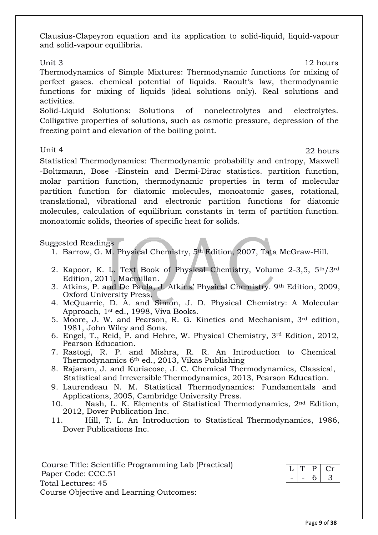Clausius-Clapeyron equation and its application to solid-liquid, liquid-vapour and solid-vapour equilibria.

Unit 3 12 hours Thermodynamics of Simple Mixtures: Thermodynamic functions for mixing of perfect gases. chemical potential of liquids. Raoult's law, thermodynamic functions for mixing of liquids (ideal solutions only). Real solutions and activities.

Solid-Liquid Solutions: Solutions of nonelectrolytes and electrolytes. Colligative properties of solutions, such as osmotic pressure, depression of the freezing point and elevation of the boiling point.

Unit 4 22 hours

Statistical Thermodynamics: Thermodynamic probability and entropy, Maxwell -Boltzmann, Bose -Einstein and Dermi-Dirac statistics. partition function, molar partition function, thermodynamic properties in term of molecular partition function for diatomic molecules, monoatomic gases, rotational, translational, vibrational and electronic partition functions for diatomic molecules, calculation of equilibrium constants in term of partition function. monoatomic solids, theories of specific heat for solids.

Suggested Readings

- 1. Barrow, G. M. Physical Chemistry, 5th Edition, 2007, Tata McGraw-Hill.
- 2. Kapoor, K. L. Text Book of Physical Chemistry, Volume 2-3,5, 5th/3rd Edition, 2011, Macmillan.
- 3. Atkins, P. and De Paula, J. Atkins' Physical Chemistry. 9th Edition, 2009, Oxford University Press.
- 4. McQuarrie, D. A. and Simon, J. D. Physical Chemistry: A Molecular Approach, 1st ed., 1998, Viva Books.
- 5. Moore, J. W. and Pearson, R. G. Kinetics and Mechanism, 3rd edition, 1981, John Wiley and Sons.
- 6. Engel, T., Reid, P. and Hehre, W. Physical Chemistry, 3rd Edition, 2012, Pearson Education.
- 7. [Rastogi,](http://www.vikaspublishing.com/author-details/r-p-rastogi/3280) R. P. and [Mishra,](http://www.vikaspublishing.com/author-details/r-r-mishra/3281) R. R. An Introduction to Chemical Thermodynamics 6th ed., 2013, Vikas Publishing
- 8. Rajaram, J. and Kuriacose, J. C. Chemical Thermodynamics, Classical, Statistical and Irreversible Thermodynamics, 2013, Pearson Education.
- 9. Laurendeau N. M. Statistical Thermodynamics: Fundamentals and Applications, 2005, Cambridge University Press.
- 10. Nash, L. K. Elements of Statistical Thermodynamics, 2nd Edition, 2012, Dover Publication Inc.
- 11. Hill, T. L. An Introduction to Statistical Thermodynamics, 1986, Dover Publications Inc.

Course Title: Scientific Programming Lab (Practical) Paper Code: CCC.51 Total Lectures: 45 Course Objective and Learning Outcomes: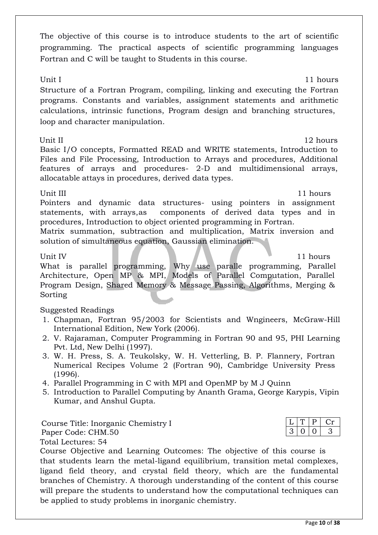The objective of this course is to introduce students to the art of scientific programming. The practical aspects of scientific programming languages Fortran and C will be taught to Students in this course.

Unit I 11 hours Structure of a Fortran Program, compiling, linking and executing the Fortran programs. Constants and variables, assignment statements and arithmetic calculations, intrinsic functions, Program design and branching structures, loop and character manipulation.

Unit II 12 hours Basic I/O concepts, Formatted READ and WRITE statements, Introduction to Files and File Processing, Introduction to Arrays and procedures, Additional features of arrays and procedures- 2-D and multidimensional arrays, allocatable attays in procedures, derived data types.

Unit III 11 hours

Pointers and dynamic data structures- using pointers in assignment statements, with arrays,as components of derived data types and in procedures, Introduction to object oriented programming in Fortran.

Matrix summation, subtraction and multiplication, Matrix inversion and solution of simultaneous equation, Gaussian elimination.

Unit IV 11 hours and the state of the state of the state of the state of the state of the state of the state of the state of the state of the state of the state of the state of the state of the state of the state of the st

What is parallel programming, Why use paralle programming, Parallel Architecture, Open MP & MPI, Models of Parallel Computation, Parallel Program Design, Shared Memory & Message Passing, Algorithms, Merging & Sorting

# Suggested Readings

- 1. Chapman, Fortran 95/2003 for Scientists and Wngineers, McGraw-Hill International Edition, New York (2006).
- 2. V. Rajaraman, Computer Programming in Fortran 90 and 95, PHI Learning Pvt. Ltd, New Delhi (1997).
- 3. W. H. Press, S. A. Teukolsky, W. H. Vetterling, B. P. Flannery, Fortran Numerical Recipes Volume 2 (Fortran 90), Cambridge University Press (1996).
- 4. Parallel Programming in C with MPI and OpenMP by M J Quinn
- 5. Introduction to Parallel Computing by Ananth Grama, George Karypis, Vipin Kumar, and Anshul Gupta.

Course Title: Inorganic Chemistry I Paper Code: CHM.50 Total Lectures: 54

Course Objective and Learning Outcomes: The objective of this course is that students learn the metal-ligand equilibrium, transition metal complexes, ligand field theory, and crystal field theory, which are the fundamental branches of Chemistry. A thorough understanding of the content of this course will prepare the students to understand how the computational techniques can be applied to study problems in inorganic chemistry.

## $T | P | Cr$  $3 | 0 | 0 | 3$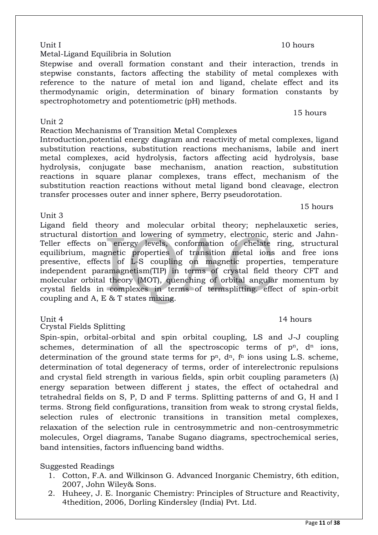### Unit I and I is a set of the set of the set of the set of the set of the set of the set of the set of the set o

### Metal-Ligand Equilibria in Solution

Stepwise and overall formation constant and their interaction, trends in stepwise constants, factors affecting the stability of metal complexes with reference to the nature of metal ion and ligand, chelate effect and its thermodynamic origin, determination of binary formation constants by spectrophotometry and potentiometric (pH) methods.

### Unit 2

Reaction Mechanisms of Transition Metal Complexes

Introduction,potential energy diagram and reactivity of metal complexes, ligand substitution reactions, substitution reactions mechanisms, labile and inert metal complexes, acid hydrolysis, factors affecting acid hydrolysis, base hydrolysis, conjugate base mechanism, anation reaction, substitution reactions in square planar complexes, trans effect, mechanism of the substitution reaction reactions without metal ligand bond cleavage, electron transfer processes outer and inner sphere, Berry pseudorotation.

### Unit 3

Ligand field theory and molecular orbital theory; nephelauxetic series, structural distortion and lowering of symmetry, electronic, steric and Jahn-Teller effects on energy levels, conformation of chelate ring, structural equilibrium, magnetic properties of transition metal ions and free ions presentive, effects of L-S coupling on magnetic properties, temperature independent paramagnetism(TIP) in terms of crystal field theory CFT and molecular orbital theory (MOT), quenching of orbital angular momentum by crystal fields in complexes in terms of termsplitting. effect of spin-orbit coupling and A, E & T states mixing.

### Crystal Fields Splitting

Spin-spin, orbital-orbital and spin orbital coupling, LS and J-J coupling schemes, determination of all the spectroscopic terms of  $p<sup>n</sup>$ ,  $d<sup>n</sup>$  ions, determination of the ground state terms for  $p<sup>n</sup>$ ,  $d<sup>n</sup>$ ,  $f<sup>n</sup>$  ions using L.S. scheme, determination of total degeneracy of terms, order of interelectronic repulsions and crystal field strength in various fields, spin orbit coupling parameters  $(\lambda)$ energy separation between different j states, the effect of octahedral and tetrahedral fields on S, P, D and F terms. Splitting patterns of and G, H and I terms. Strong field configurations, transition from weak to strong crystal fields, selection rules of electronic transitions in transition metal complexes, relaxation of the selection rule in centrosymmetric and non-centrosymmetric molecules, Orgel diagrams, Tanabe Sugano diagrams, spectrochemical series, band intensities, factors influencing band widths.

### Suggested Readings

- 1. Cotton, F.A. and Wilkinson G. Advanced Inorganic Chemistry, 6th edition, 2007, John Wiley& Sons.
- 2. Huheey, J. E. Inorganic Chemistry: Principles of Structure and Reactivity, 4thedition, 2006, Dorling Kindersley (India) Pvt. Ltd.

## Unit 4 14 hours

15 hours

15 hours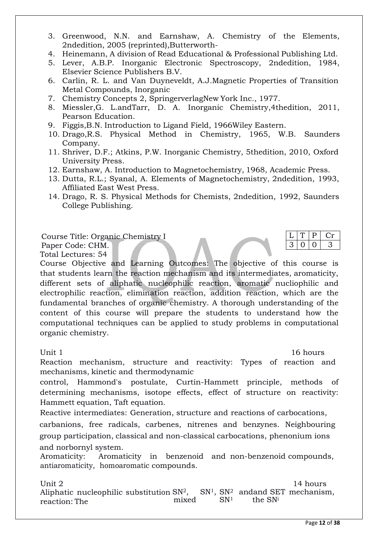- 3. Greenwood, N.N. and Earnshaw, A. Chemistry of the Elements, 2ndedition, 2005 (reprinted),Butterworth-
- 4. Heinemann, A division of Read Educational & Professional Publishing Ltd.
- 5. Lever, A.B.P. Inorganic Electronic Spectroscopy, 2ndedition, 1984, Elsevier Science Publishers B.V.
- 6. Carlin, R. L. and Van Duyneveldt, A.J.Magnetic Properties of Transition Metal Compounds, Inorganic
- 7. Chemistry Concepts 2, SpringerverlagNew York Inc., 1977.
- 8. Miessler,G. L.andTarr, D. A. Inorganic Chemistry,4thedition, 2011, Pearson Education.
- 9. Figgis,B.N. Introduction to Ligand Field, 1966Wiley Eastern.
- 10. Drago,R.S. Physical Method in Chemistry, 1965, W.B. Saunders Company.
- 11. Shriver, D.F.; Atkins, P.W. Inorganic Chemistry, 5thedition, 2010, Oxford University Press.
- 12. Earnshaw, A. Introduction to Magnetochemistry, 1968, Academic Press.
- 13. Dutta, R.L.; Syanal, A. Elements of Magnetochemistry, 2ndedition, 1993, Affiliated East West Press.
- 14. Drago, R. S. Physical Methods for Chemists, 2ndedition, 1992, Saunders College Publishing.

Course Title: Organic Chemistry I

Paper Code: CHM.

Total Lectures: 54

Course Objective and Learning Outcomes: The objective of this course is that students learn the reaction mechanism and its intermediates, aromaticity, different sets of aliphatic nucleophilic reaction, aromatic nucliophilic and electrophilic reaction, elimination reaction, addition reaction, which are the fundamental branches of organic chemistry. A thorough understanding of the content of this course will prepare the students to understand how the computational techniques can be applied to study problems in computational organic chemistry.

Unit 1 16 hours

 $T$  P  $Cr$  $0 \mid 0 \mid 3$ 

Reaction mechanism, structure and reactivity: Types of reaction and mechanisms, kinetic and thermodynamic

control, Hammond's postulate, Curtin-Hammett principle, methods of determining mechanisms, isotope effects, effect of structure on reactivity: Hammett equation, Taft equation.

Reactive intermediates: Generation, structure and reactions of carbocations,

carbanions, free radicals, carbenes, nitrenes and benzynes. Neighbouring group participation, classical and non-classical carbocations, phenonium ions and norbornyl system.

Aromaticity: Aromaticity in benzenoid and non-benzenoid compounds, antiaromaticity, homoaromatic compounds.

Unit 2 14 hours Aliphatic nucleophilic substitution  $SN^2$ ,  $SN^1$ ,  $SN^2$  and and SET mechanism, reaction: The mixed  $SN^1$  the  $SN^i$ reaction: The mixed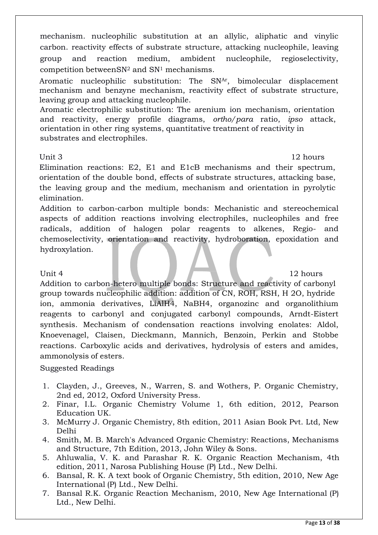mechanism. nucleophilic substitution at an allylic, aliphatic and vinylic carbon. reactivity effects of substrate structure, attacking nucleophile, leaving group and reaction medium, ambident nucleophile, regioselectivity, competition betweenSN<sup>2</sup> and SN<sup>1</sup> mechanisms.

Aromatic nucleophilic substitution: The SNAr, bimolecular displacement mechanism and benzyne mechanism, reactivity effect of substrate structure, leaving group and attacking nucleophile.

Aromatic electrophilic substitution: The arenium ion mechanism, orientation and reactivity, energy profile diagrams, *ortho/para* ratio, *ipso* attack, orientation in other ring systems, quantitative treatment of reactivity in substrates and electrophiles.

Unit 3 12 hours

Elimination reactions: E2, E1 and E1cB mechanisms and their spectrum, orientation of the double bond, effects of substrate structures, attacking base, the leaving group and the medium, mechanism and orientation in pyrolytic elimination.

Addition to carbon-carbon multiple bonds: Mechanistic and stereochemical aspects of addition reactions involving electrophiles, nucleophiles and free radicals, addition of halogen polar reagents to alkenes, Regio- and chemoselectivity, orientation and reactivity, hydroboration, epoxidation and hydroxylation.

Unit 4 12 hours

Addition to carbon-hetero multiple bonds: Structure and reactivity of carbonyl group towards nucleophilic addition: addition of CN, ROH, RSH, H 2O, hydride ion, ammonia derivatives, LiAlH4, NaBH4, organozinc and organolithium reagents to carbonyl and conjugated carbonyl compounds, Arndt-Eistert synthesis. Mechanism of condensation reactions involving enolates: Aldol, Knoevenagel, Claisen, Dieckmann, Mannich, Benzoin, Perkin and Stobbe reactions. Carboxylic acids and derivatives, hydrolysis of esters and amides, ammonolysis of esters.

### Suggested Readings

- 1. Clayden, J., Greeves, N., Warren, S. and Wothers, P. Organic Chemistry, 2nd ed, 2012, Oxford University Press.
- 2. Finar, I.L. Organic Chemistry Volume 1, 6th edition, 2012, Pearson Education UK.
- 3. McMurry J. Organic Chemistry, 8th edition, 2011 Asian Book Pvt. Ltd, New Delhi
- 4. Smith, M. B. March's Advanced Organic Chemistry: Reactions, Mechanisms and Structure, 7th Edition, 2013, John Wiley & Sons.
- 5. Ahluwalia, V. K. and Parashar R. K. Organic Reaction Mechanism, 4th edition, 2011, Narosa Publishing House (P) Ltd., New Delhi.
- 6. Bansal, R. K. A text book of Organic Chemistry, 5th edition, 2010, New Age International (P) Ltd., New Delhi.
- 7. Bansal R.K. Organic Reaction Mechanism, 2010, New Age International (P) Ltd., New Delhi.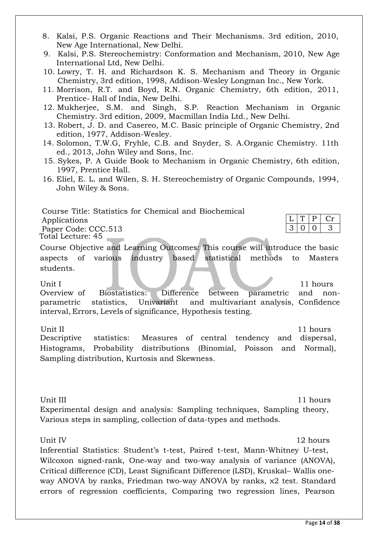- 8. Kalsi, P.S. Organic Reactions and Their Mechanisms. 3rd edition, 2010, New Age International, New Delhi.
- 9. Kalsi, P.S. Stereochemistry: Conformation and Mechanism, 2010, New Age International Ltd, New Delhi.
- 10. Lowry, T. H. and Richardson K. S. Mechanism and Theory in Organic Chemistry, 3rd edition, 1998, Addison-Wesley Longman Inc., New York.
- 11. Morrison, R.T. and Boyd, R.N. Organic Chemistry, 6th edition, 2011, Prentice- Hall of India, New Delhi.
- 12. Mukherjee, S.M. and Singh, S.P. Reaction Mechanism in Organic Chemistry. 3rd edition, 2009, Macmillan India Ltd., New Delhi.
- 13. Robert, J. D. and Casereo, M.C. Basic principle of Organic Chemistry, 2nd edition, 1977, Addison-Wesley.
- 14. Solomon, T.W.G, Fryhle, C.B. and Snyder, S. A.Organic Chemistry. 11th ed., 2013, John Wiley and Sons, Inc.
- 15. Sykes, P. A Guide Book to Mechanism in Organic Chemistry, 6th edition, 1997, Prentice Hall.
- 16. Eliel, E. L. and Wilen, S. H. Stereochemistry of Organic Compounds, 1994, John Wiley & Sons.

Course Title: Statistics for Chemical and Biochemical Applications Paper Code: CCC.513 Total Lecture: 45

Course Objective and Learning Outcomes: This course will introduce the basic aspects of various industry based statistical methods to Masters students.

### Unit I 11 hours 11 hours

Overview of Biostatistics: Difference between parametric and nonparametric statistics, Univariant and multivariant analysis, Confidence interval, Errors, Levels of significance, Hypothesis testing.

Unit II 11 hours Descriptive statistics: Measures of central tendency and dispersal, Histograms, Probability distributions (Binomial, Poisson and Normal), Sampling distribution, Kurtosis and Skewness.

 $P \mid Cr$ 

 $3 | 0 | 0 | 3$ 

Unit III 11 hours Experimental design and analysis: Sampling techniques, Sampling theory, Various steps in sampling, collection of data-types and methods.

Unit IV and the Unit IV and the Unit IV and the Unit IV and the Unit IV and the Unit IV and the Unit IV and the U

Inferential Statistics: Student's t-test, Paired t-test, Mann-Whitney U-test, Wilcoxon signed-rank, One-way and two-way analysis of variance (ANOVA), Critical difference (CD), Least Significant Difference (LSD), Kruskal– Wallis oneway ANOVA by ranks, Friedman two-way ANOVA by ranks, x2 test. Standard errors of regression coefficients, Comparing two regression lines, Pearson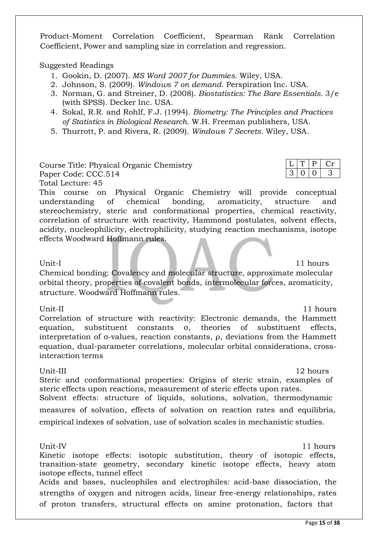Product-Moment Correlation Coefficient, Spearman Rank Correlation Coefficient, Power and sampling size in correlation and regression.

### Suggested Readings

- 1. Gookin, D. (2007). *MS Word 2007 for Dummies*. Wiley, USA.
- 2. Johnson, S. (2009). *Windows 7 on demand*. Perspiration Inc. USA.
- 3. Norman, G. and Streiner, D. (2008). *Biostatistics: The Bare Essentials.* 3/e (with SPSS). Decker Inc. USA.
- 4. Sokal, R.R. and Rohlf, F.J. (1994). *Biometry: The Principles and Practices of Statistics in Biological Research*. W.H. Freeman publishers, USA.
- 5. Thurrott, P. and Rivera, R. (2009). *Windows 7 Secrets*. Wiley, USA.

Course Title: Physical Organic Chemistry Paper Code: CCC.514

Total Lecture: 45

This course on Physical Organic Chemistry will provide conceptual understanding of chemical bonding, aromaticity, structure and stereochemistry, steric and conformational properties, chemical reactivity, correlation of structure with reactivity, Hammond postulates, solvent effects, acidity, nucleophilicity, electrophilicity, studying reaction mechanisms, isotope effects Woodward Hoffmann rules.

### Unit-I 11 hours and 11 hours and 11 hours and 11 hours and 11 hours are not been applied by the 11 hours and 11 hours

Chemical bonding: Covalency and molecular structure, approximate molecular orbital theory, properties of covalent bonds, intermolecular forces, aromaticity, structure. Woodward Hoffmann rules.

Correlation of structure with reactivity: Electronic demands, the Hammett equation, substituent constants σ, theories of substituent effects, interpretation of σ-values, reaction constants, ρ, deviations from the Hammett equation, dual-parameter correlations, molecular orbital considerations, crossinteraction terms

Unit-III 12 hours Steric and conformational properties: Origins of steric strain, examples of steric effects upon reactions, measurement of steric effects upon rates. Solvent effects: structure of liquids, solutions, solvation, thermodynamic measures of solvation, effects of solvation on reaction rates and equilibria, empirical indexes of solvation, use of solvation scales in mechanistic studies.

Unit-IV 11 hours

Kinetic isotope effects: isotopic substitution, theory of isotopic effects, transition-state geometry, secondary kinetic isotope effects, heavy atom isotope effects, tunnel effect

Acids and bases, nucleophiles and electrophiles: acid-base dissociation, the strengths of oxygen and nitrogen acids, linear free-energy relationships, rates of proton transfers, structural effects on amine protonation, factors that

Unit-II 11 hours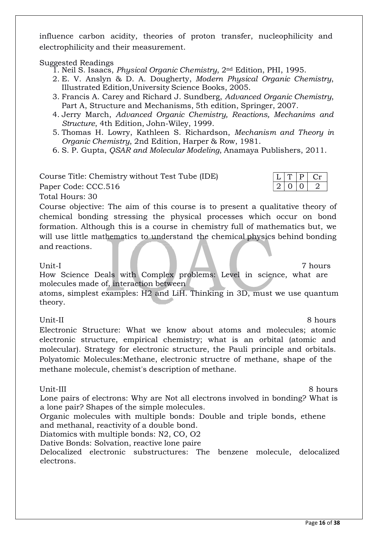influence carbon acidity, theories of proton transfer, nucleophilicity and electrophilicity and their measurement.

Suggested Readings

1. Neil S. Isaacs, *Physical Organic Chemistry*, 2nd Edition, PHI, 1995.

- 2. E. V. Anslyn & D. A. Dougherty, *Modern Physical Organic Chemistry*, Illustrated Edition,University Science Books, 2005.
- 3. Francis A. Carey and Richard J. Sundberg, *Advanced Organic Chemistry*, Part A, Structure and Mechanisms, 5th edition, Springer, 2007.
- 4. Jerry March, *Advanced Organic Chemistry, Reactions, Mechanims and Structure*, 4th Edition, John-Wiley, 1999.
- 5. Thomas H. Lowry, Kathleen S. Richardson, *Mechanism and Theory in Organic Chemistry*, 2nd Edition, Harper & Row, 1981.
- 6. S. P. Gupta, *QSAR and Molecular Modeling*, Anamaya Publishers, 2011.

Course Title: Chemistry without Test Tube (IDE)

Paper Code: CCC.516

Total Hours: 30

Course objective: The aim of this course is to present a qualitative theory of chemical bonding stressing the physical processes which occur on bond formation. Although this is a course in chemistry full of mathematics but, we will use little mathematics to understand the chemical physics behind bonding and reactions.

### Unit-I 7 hours

How Science Deals with Complex problems: Level in science, what are molecules made of, interaction between

atoms, simplest examples: H2 and LiH. Thinking in 3D, must we use quantum theory.

Unit-II 8 hours Electronic Structure: What we know about atoms and molecules; atomic electronic structure, empirical chemistry; what is an orbital (atomic and molecular). Strategy for electronic structure, the Pauli principle and orbitals. Polyatomic Molecules:Methane, electronic structre of methane, shape of the methane molecule, chemist's description of methane.

Unit-III 8 hours Lone pairs of electrons: Why are Not all electrons involved in bonding? What is a lone pair? Shapes of the simple molecules.

Organic molecules with multiple bonds: Double and triple bonds, ethene and methanal, reactivity of a double bond.

Diatomics with multiple bonds: N2, CO, O2

Dative Bonds: Solvation, reactive lone paire

Delocalized electronic substructures: The benzene molecule, delocalized electrons.

| 2. | $\left( \right)$ | $\left( \right)$ |  |
|----|------------------|------------------|--|
|    |                  |                  |  |
|    |                  |                  |  |

 $L | T | P | Cr$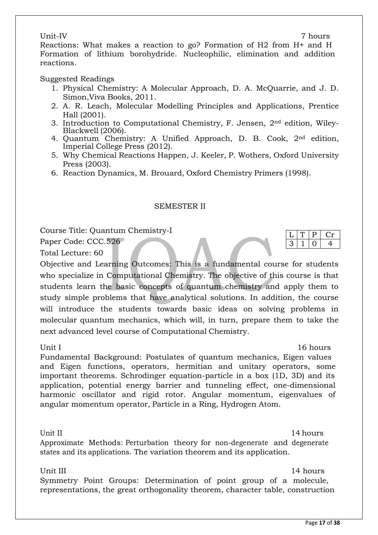### Unit-IV 7 hours

Reactions: What makes a reaction to go? Formation of H2 from H+ and H Formation of lithium borohydride. Nucleophilic, elimination and addition reactions.

### Suggested Readings

- 1. Physical Chemistry: A Molecular Approach, D. A. McQuarrie, and J. D. Simon,Viva Books, 2011.
- 2. A. R. Leach, Molecular Modelling Principles and Applications, Prentice Hall (2001).
- 3. Introduction to Computational Chemistry, F. Jensen, 2nd edition, Wiley-Blackwell (2006).
- 4. Quantum Chemistry: A Unified Approach, D. B. Cook, 2nd edition, Imperial College Press (2012).
- 5. Why Chemical Reactions Happen, J. Keeler, P. Wothers, Oxford University Press (2003).
- 6. Reaction Dynamics, M. Brouard, Oxford Chemistry Primers (1998).

### SEMESTER II

Course Title: Quantum Chemistry-I

Paper Code: CCC.526

Total Lecture: 60

Objective and Learning Outcomes: This is a fundamental course for students who specialize in Computational Chemistry. The objective of this course is that students learn the basic concepts of quantum chemistry and apply them to study simple problems that have analytical solutions. In addition, the course will introduce the students towards basic ideas on solving problems in molecular quantum mechanics, which will, in turn, prepare them to take the next advanced level course of Computational Chemistry.

Unit I and 16 hours and 16 hours and 16 hours and 16 hours and 16 hours and 16 hours and 16 hours and 16 hours

P Cr

 $3 | 1 | 0 | 4$ 

Fundamental Background: Postulates of quantum mechanics, Eigen values and Eigen functions, operators, hermitian and unitary operators, some important theorems. Schrodinger equation-particle in a box (1D, 3D) and its application, potential energy barrier and tunneling effect, one-dimensional harmonic oscillator and rigid rotor. Angular momentum, eigenvalues of angular momentum operator, Particle in a Ring, Hydrogen Atom.

Unit II 14 hours Approximate Methods: Perturbation theory for non-degenerate and degenerate states and its applications. The variation theorem and its application.

Unit III 14 hours

Symmetry Point Groups: Determination of point group of a molecule, representations, the great orthogonality theorem, character table, construction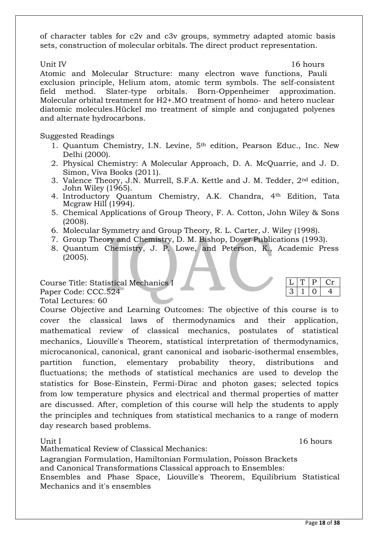of character tables for c2v and c3v groups, symmetry adapted atomic basis sets, construction of molecular orbitals. The direct product representation.

Unit IV and the set of the set of the set of the set of the set of the set of the set of the set of the set of the set of the set of the set of the set of the set of the set of the set of the set of the set of the set of t

Atomic and Molecular Structure: many electron wave functions, Pauli exclusion principle, Helium atom, atomic term symbols. The self-consistent field method. Slater-type orbitals. Born-Oppenheimer approximation. Molecular orbital treatment for H2+.MO treatment of homo- and hetero nuclear diatomic molecules.Hückel mo treatment of simple and conjugated polyenes and alternate hydrocarbons.

### Suggested Readings

- 1. Quantum Chemistry, I.N. Levine, 5<sup>th</sup> edition, Pearson Educ., Inc. New Delhi (2000).
- 2. Physical Chemistry: A Molecular Approach, D. A. McQuarrie, and J. D. Simon, Viva Books (2011).
- 3. Valence Theory, J.N. Murrell, S.F.A. Kettle and J. M. Tedder, 2nd edition, John Wiley (1965).
- 4. Introductory Quantum Chemistry, A.K. Chandra, 4<sup>th</sup> Edition, Tata Mcgraw Hill (1994).
- 5. Chemical Applications of Group Theory, F. A. Cotton, John Wiley & Sons (2008).
- 6. Molecular Symmetry and Group Theory, R. L. Carter, J. Wiley (1998).
- 7. Group Theory and Chemistry, D. M. Bishop, Dover Publications (1993).
- 8. Quantum Chemistry, J. P. Lowe, and Peterson, K., Academic Press (2005).

### Course Title: Statistical Mechanics I

Paper Code: CCC.524

Total Lectures: 60 Course Objective and Learning Outcomes: The objective of this course is to cover the classical laws of thermodynamics and their application, mathematical review of classical mechanics, postulates of statistical mechanics, Liouville's Theorem, statistical interpretation of thermodynamics, microcanonical, canonical, grant canonical and isobaric-isothermal ensembles, partition function, elementary probability theory, distributions and fluctuations; the methods of statistical mechanics are used to develop the statistics for Bose-Einstein, Fermi-Dirac and photon gases; selected topics from low temperature physics and electrical and thermal properties of matter are discussed. After, completion of this course will help the students to apply the principles and techniques from statistical mechanics to a range of modern day research based problems.

Unit I and 16 hours and 16 hours and 16 hours and 16 hours and 16 hours and 16 hours and 16 hours and 16 hours Mathematical Review of Classical Mechanics:

 $P \mid Cr$ 

 $3 | 1 | 0 | 4$ 

Lagrangian Formulation, Hamiltonian Formulation, Poisson Brackets and Canonical Transformations Classical approach to Ensembles: Ensembles and Phase Space, Liouville's Theorem, Equilibrium Statistical Mechanics and it's ensembles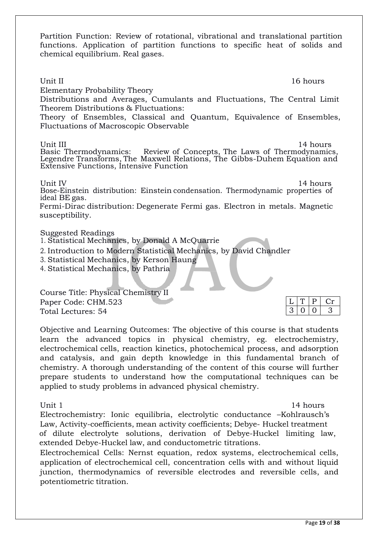Partition Function: Review of rotational, vibrational and translational partition functions. Application of partition functions to specific heat of solids and chemical equilibrium. Real gases.

 $L$   $T$   $P$   $C$ r Unit II and the set of the set of the set of the set of the set of the set of the set of the set of the set of the set of the set of the set of the set of the set of the set of the set of the set of the set of the set of t Elementary Probability Theory Distributions and Averages, Cumulants and Fluctuations, The Central Limit Theorem Distributions & Fluctuations: Theory of Ensembles, Classical and Quantum, Equivalence of Ensembles, Fluctuations of Macroscopic Observable Unit III 14 hours Basic Thermodynamics: Review of Concepts, The Laws of Thermodynamics, Legendre Transforms, The Maxwell Relations, The Gibbs-Duhem Equation and Extensive Functions, Intensive Function Unit IV 14 hours Bose-Einstein distribution: Einstein condensation. Thermodynamic properties of ideal BE gas. Fermi-Dirac distribution: Degenerate Fermi gas. Electron in metals. Magnetic susceptibility. Suggested Readings 1. Statistical Mechanics, by Donald A McQuarrie 2. Introduction to Modern Statistical Mechanics, by David Chandler 3. Statistical Mechanics, by Kerson Haung 4. Statistical Mechanics, by Pathria Course Title: Physical Chemistry II

Paper Code: CHM.523 Total Lectures: 54

Objective and Learning Outcomes: The objective of this course is that students learn the advanced topics in physical chemistry, eg. electrochemistry, electrochemical cells, reaction kinetics, photochemical process, and adsorption and catalysis, and gain depth knowledge in this fundamental branch of chemistry. A thorough understanding of the content of this course will further prepare students to understand how the computational techniques can be applied to study problems in advanced physical chemistry.

Unit 1 and 14 hours and 14 hours and 14 hours and 14 hours and 14 hours and 14 hours and 14 hours and 14 hours

 $3 | 0 | 0 | 3$ 

Electrochemistry: Ionic equilibria, electrolytic conductance –Kohlrausch's Law, Activity-coefficients, mean activity coefficients; Debye- Huckel treatment of dilute electrolyte solutions, derivation of Debye-Huckel limiting law, extended Debye-Huckel law, and conductometric titrations.

Electrochemical Cells: Nernst equation, redox systems, electrochemical cells, application of electrochemical cell, concentration cells with and without liquid junction, thermodynamics of reversible electrodes and reversible cells, and potentiometric titration.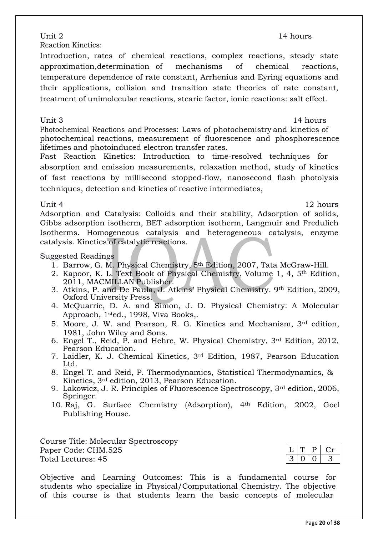Reaction Kinetics:

Introduction, rates of chemical reactions, complex reactions, steady state approximation,determination of mechanisms of chemical reactions, temperature dependence of rate constant, Arrhenius and Eyring equations and their applications, collision and transition state theories of rate constant, treatment of unimolecular reactions, stearic factor, ionic reactions: salt effect.

Unit 3 14 hours

Photochemical Reactions and Processes: Laws of photochemistry and kinetics of photochemical reactions, measurement of fluorescence and phosphorescence lifetimes and photoinduced electron transfer rates.

Fast Reaction Kinetics: Introduction to time-resolved techniques for absorption and emission measurements, relaxation method, study of kinetics of fast reactions by millisecond stopped-flow, nanosecond flash photolysis techniques, detection and kinetics of reactive intermediates,

### Unit 4 12 hours

Adsorption and Catalysis: Colloids and their stability, Adsorption of solids, Gibbs adsorption isotherm, BET adsorption isotherm, Langmuir and Fredulich Isotherms. Homogeneous catalysis and heterogeneous catalysis, enzyme catalysis. Kinetics of catalytic reactions.

### Suggested Readings

- 1. Barrow, G. M. Physical Chemistry, 5th Edition, 2007, Tata McGraw-Hill.
- 2. Kapoor, K. L. Text Book of Physical Chemistry, Volume 1, 4, 5th Edition, 2011, MACMILLAN Publisher.
- 3. Atkins, P. and De Paula, J. Atkins' Physical Chemistry. 9th Edition, 2009, Oxford University Press.
- 4. McQuarrie, D. A. and Simon, J. D. Physical Chemistry: A Molecular Approach, 1sted., 1998, Viva Books,.
- 5. Moore, J. W. and Pearson, R. G. Kinetics and Mechanism, 3rd edition, 1981, John Wiley and Sons.
- 6. Engel T., Reid, P. and Hehre, W. Physical Chemistry, 3rd Edition, 2012, Pearson Education.
- 7. Laidler, K. J. Chemical Kinetics, 3rd Edition, 1987, Pearson Education Ltd.
- 8. Engel T. and Reid, P. Thermodynamics, Statistical Thermodynamics, & Kinetics, 3rd edition, 2013, Pearson Education.
- 9. Lakowicz, J. R. Principles of Fluorescence Spectroscopy, 3rd edition, 2006, Springer.
- 10. Raj, G. Surface Chemistry (Adsorption), 4th Edition, 2002, Goel Publishing House.

Course Title: Molecular Spectroscopy Paper Code: CHM.525 Total Lectures: 45

Objective and Learning Outcomes: This is a fundamental course for students who specialize in Physical/Computational Chemistry. The objective of this course is that students learn the basic concepts of molecular

Unit 2 14 hours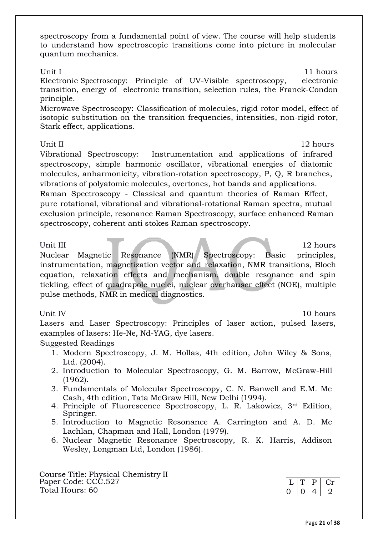spectroscopy from a fundamental point of view. The course will help students to understand how spectroscopic transitions come into picture in molecular quantum mechanics.

### Unit I 11 hours

Electronic Spectroscopy: Principle of UV-Visible spectroscopy, electronic transition, energy of electronic transition, selection rules, the Franck-Condon principle.

Microwave Spectroscopy: Classification of molecules, rigid rotor model, effect of isotopic substitution on the transition frequencies, intensities, non-rigid rotor, Stark effect, applications.

### Unit II 12 hours

Vibrational Spectroscopy: Instrumentation and applications of infrared spectroscopy, simple harmonic oscillator, vibrational energies of diatomic molecules, anharmonicity, vibration-rotation spectroscopy, P, Q, R branches, vibrations of polyatomic molecules, overtones, hot bands and applications. Raman Spectroscopy - Classical and quantum theories of Raman Effect, pure rotational, vibrational and vibrational-rotational Raman spectra, mutual exclusion principle, resonance Raman Spectroscopy, surface enhanced Raman spectroscopy, coherent anti stokes Raman spectroscopy.

Unit III 12 hours 12 hours Nuclear Magnetic Resonance (NMR) Spectroscopy: Basic principles, instrumentation, magnetization vector and relaxation, NMR transitions, Bloch equation, relaxation effects and mechanism, double resonance and spin tickling, effect of quadrapole nuclei, nuclear overhauser effect (NOE), multiple pulse methods, NMR in medical diagnostics.

Unit IV 10 hours

Lasers and Laser Spectroscopy: Principles of laser action, pulsed lasers, examples of lasers: He-Ne, Nd-YAG, dye lasers.

### Suggested Readings

- 1. Modern Spectroscopy, J. M. Hollas, 4th edition, John Wiley & Sons, Ltd. (2004).
- 2. Introduction to Molecular Spectroscopy, G. M. Barrow, McGraw-Hill (1962).
- 3. Fundamentals of Molecular Spectroscopy, C. N. Banwell and E.M. Mc Cash, 4th edition, Tata McGraw Hill, New Delhi (1994).
- 4. Principle of Fluorescence Spectroscopy, L. R. Lakowicz, 3rd Edition, Springer.
- 5. Introduction to Magnetic Resonance A. Carrington and A. D. Mc Lachlan, Chapman and Hall, London (1979).
- 6. Nuclear Magnetic Resonance Spectroscopy, R. K. Harris, Addison Wesley, Longman Ltd, London (1986).

Course Title: Physical Chemistry II Paper Code: CCC.527 Total Hours: 60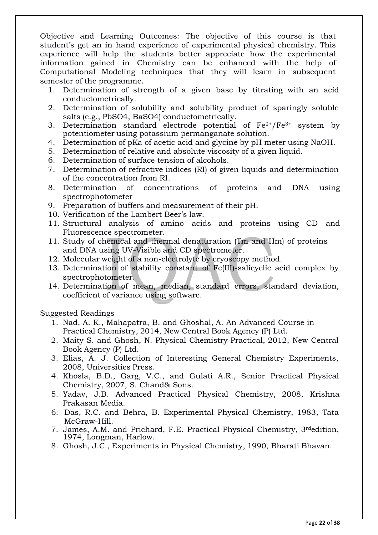Objective and Learning Outcomes: The objective of this course is that student's get an in hand experience of experimental physical chemistry. This experience will help the students better appreciate how the experimental information gained in Chemistry can be enhanced with the help of Computational Modeling techniques that they will learn in subsequent semester of the programme.

- 1. Determination of strength of a given base by titrating with an acid conductometrically.
- 2. Determination of solubility and solubility product of sparingly soluble salts (e.g., PbSO4, BaSO4) conductometrically.
- 3. Determination standard electrode potential of  $Fe^{2+}/Fe^{3+}$  system by potentiometer using potassium permanganate solution.
- 4. Determination of pKa of acetic acid and glycine by pH meter using NaOH.
- 5. Determination of relative and absolute viscosity of a given liquid.
- 6. Determination of surface tension of alcohols.
- 7. Determination of refractive indices (RI) of given liquids and determination of the concentration from RI.
- 8. Determination of concentrations of proteins and DNA using spectrophotometer
- 9. Preparation of buffers and measurement of their pH.
- 10. Verification of the Lambert Beer's law.
- 11. Structural analysis of amino acids and proteins using CD and Fluorescence spectrometer.
- 11. Study of chemical and thermal denaturation (Tm and Hm) of proteins and DNA using UV-Visible and CD spectrometer.
- 12. Molecular weight of a non-electrolyte by cryoscopy method.
- 13. Determination of stability constant of Fe(III)-salicyclic acid complex by spectrophotometer.
- 14. Determination of mean, median, standard errors, standard deviation, coefficient of variance using software.

Suggested Readings

- 1. Nad, A. K., Mahapatra, B. and Ghoshal, A. An Advanced Course in Practical Chemistry, 2014, New Central Book Agency (P) Ltd.
- 2. Maity S. and Ghosh, N. Physical Chemistry Practical, 2012, New Central Book Agency (P) Ltd.
- 3. Elias, A. J. Collection of Interesting General Chemistry Experiments, 2008, Universities Press.
- 4. Khosla, B.D., Garg, V.C., and Gulati A.R., Senior Practical Physical Chemistry, 2007, S. Chand& Sons.
- 5. Yadav, J.B. Advanced Practical Physical Chemistry, 2008, Krishna Prakasan Media.
- 6. Das, R.C. and Behra, B. Experimental Physical Chemistry, 1983, Tata McGraw-Hill.
- 7. James, A.M. and Prichard, F.E. Practical Physical Chemistry, 3rdedition, 1974, Longman, Harlow.
- 8. Ghosh, J.C., Experiments in Physical Chemistry, 1990, Bharati Bhavan.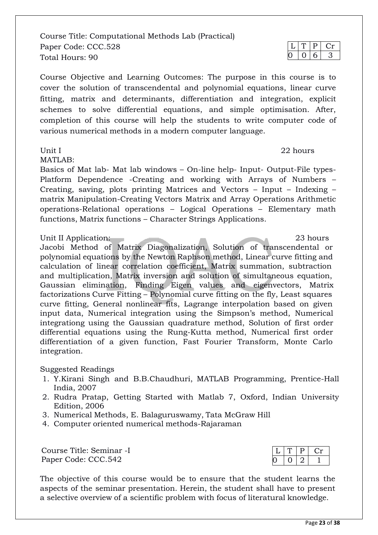Course Title: Computational Methods Lab (Practical) Paper Code: CCC.528 Total Hours: 90

Course Objective and Learning Outcomes: The purpose in this course is to cover the solution of transcendental and polynomial equations, linear curve fitting, matrix and determinants, differentiation and integration, explicit schemes to solve differential equations, and simple optimisation. After, completion of this course will help the students to write computer code of various numerical methods in a modern computer language.

MATLAB:

Basics of Mat lab- Mat lab windows – On-line help- Input- Output-File types-Platform Dependence -Creating and working with Arrays of Numbers – Creating, saving, plots printing Matrices and Vectors – Input – Indexing – matrix Manipulation-Creating Vectors Matrix and Array Operations Arithmetic operations-Relational operations – Logical Operations – Elementary math functions, Matrix functions – Character Strings Applications.

### Unit II Application: 23 hours

Jacobi Method of Matrix Diagonalization, Solution of transcendental or polynomial equations by the Newton Raphson method, Linear curve fitting and calculation of linear correlation coefficient, Matrix summation, subtraction and multiplication, Matrix inversion and solution of simultaneous equation, Gaussian elimination, Finding Eigen values and eigenvectors, Matrix factorizations Curve Fitting – Polynomial curve fitting on the fly, Least squares curve fitting, General nonlinear fits, Lagrange interpolation based on given input data, Numerical integration using the Simpson's method, Numerical integrationg using the Gaussian quadrature method, Solution of first order differential equations using the Rung-Kutta method, Numerical first order differentiation of a given function, Fast Fourier Transform, Monte Carlo integration.

### Suggested Readings

- 1. Y.Kirani Singh and B.B.Chaudhuri, MATLAB Programming, Prentice-Hall India, 2007
- 2. Rudra Pratap, Getting Started with Matlab 7, Oxford, Indian University Edition, 2006
- 3. Numerical Methods, E. Balaguruswamy, Tata McGraw Hill
- 4. Computer oriented numerical methods-Rajaraman

Course Title: Seminar -I Paper Code: CCC.542

The objective of this course would be to ensure that the student learns the aspects of the seminar presentation. Herein, the student shall have to present a selective overview of a scientific problem with focus of literatural knowledge.

 $T$  P Cr  $0 \mid 6 \mid 3$ 

Unit I and 22 hours are not been applied to the 22 hours of  $\sim$  22 hours

```
P \mid Cr0 | 0 | 2 | 1
```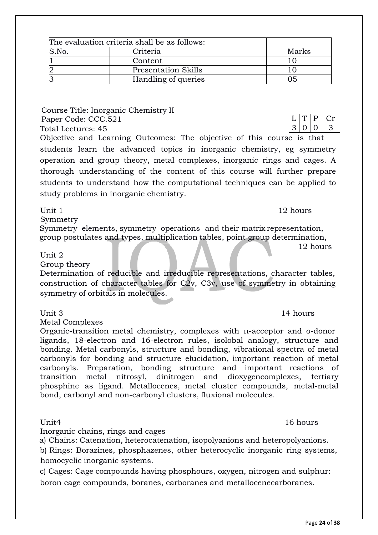|       | The evaluation criteria shall be as follows: |       |
|-------|----------------------------------------------|-------|
| S.No. | Criteria                                     | Marks |
|       | Content                                      |       |
| 2     | <b>Presentation Skills</b>                   |       |
| З     | Handling of queries                          | רו    |

Course Title: Inorganic Chemistry II Paper Code: CCC.521 Total Lectures: 45 Objective and Learning Outcomes: The objective of this course is that

students learn the advanced topics in inorganic chemistry, eg symmetry operation and group theory, metal complexes, inorganic rings and cages. A thorough understanding of the content of this course will further prepare students to understand how the computational techniques can be applied to study problems in inorganic chemistry.

Symmetry

Symmetry elements, symmetry operations and their matrix representation, group postulates and types, multiplication tables, point group determination,

### Unit 2

Group theory

Determination of reducible and irreducible representations, character tables, construction of character tables for C2v, C3v, use of symmetry in obtaining symmetry of orbitals in molecules.

### Unit 3 14 hours

Metal Complexes

Organic-transition metal chemistry, complexes with π-acceptor and σ-donor ligands, 18-electron and 16-electron rules, isolobal analogy, structure and bonding. Metal carbonyls, structure and bonding, vibrational spectra of metal carbonyls for bonding and structure elucidation, important reaction of metal carbonyls. Preparation, bonding structure and important reactions of transition metal nitrosyl, dinitrogen and dioxygencomplexes, tertiary phosphine as ligand. Metallocenes, metal cluster compounds, metal-metal bond, carbonyl and non-carbonyl clusters, fluxional molecules.

Inorganic chains, rings and cages

a) Chains: Catenation, heterocatenation, isopolyanions and heteropolyanions.

b) Rings: Borazines, phosphazenes, other heterocyclic inorganic ring systems, homocyclic inorganic systems.

c) Cages: Cage compounds having phosphours, oxygen, nitrogen and sulphur: boron cage compounds, boranes, carboranes and metallocenecarboranes.

### Unit4 16 hours

Unit 1 12 hours

12 hours

 $T | P | Cr$  $3 | 0 | 0 | 3$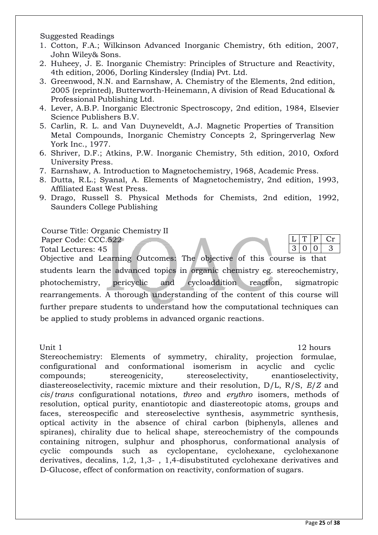Suggested Readings

- 1. Cotton, F.A.; Wilkinson Advanced Inorganic Chemistry, 6th edition, 2007, John Wiley& Sons.
- 2. Huheey, J. E. Inorganic Chemistry: Principles of Structure and Reactivity, 4th edition, 2006, Dorling Kindersley (India) Pvt. Ltd.
- 3. Greenwood, N.N. and Earnshaw, A. Chemistry of the Elements, 2nd edition, 2005 (reprinted), Butterworth-Heinemann, A division of Read Educational & Professional Publishing Ltd.
- 4. Lever, A.B.P. Inorganic Electronic Spectroscopy, 2nd edition, 1984, Elsevier Science Publishers B.V.
- 5. Carlin, R. L. and Van Duyneveldt, A.J. Magnetic Properties of Transition Metal Compounds, Inorganic Chemistry Concepts 2, Springerverlag New York Inc., 1977.
- 6. Shriver, D.F.; Atkins, P.W. Inorganic Chemistry, 5th edition, 2010, Oxford University Press.
- 7. Earnshaw, A. Introduction to Magnetochemistry, 1968, Academic Press.
- 8. Dutta, R.L.; Syanal, A. Elements of Magnetochemistry, 2nd edition, 1993, Affiliated East West Press.
- 9. Drago, Russell S. Physical Methods for Chemists, 2nd edition, 1992, Saunders College Publishing

Course Title: Organic Chemistry II

Paper Code: CCC.522

Total Lectures: 45

 $T$  P Cr  $3 \mid 0 \mid 0 \mid 3$ 

Objective and Learning Outcomes: The objective of this course is that students learn the advanced topics in organic chemistry eg. stereochemistry, photochemistry, pericyclic and cycloaddition reaction, sigmatropic rearrangements. A thorough understanding of the content of this course will further prepare students to understand how the computational techniques can be applied to study problems in advanced organic reactions.

Unit 1 12 hours

Stereochemistry: Elements of symmetry, chirality, projection formulae, configurational and conformational isomerism in acyclic and cyclic compounds; stereogenicity, stereoselectivity, enantioselectivity, diastereoselectivity, racemic mixture and their resolution, D/L, R/S, *E*/*Z* and *cis*/*trans* configurational notations, *threo* and *erythro* isomers, methods of resolution, optical purity, enantiotopic and diastereotopic atoms, groups and faces, stereospecific and stereoselective synthesis, asymmetric synthesis, optical activity in the absence of chiral carbon (biphenyls, allenes and spiranes), chirality due to helical shape, stereochemistry of the compounds containing nitrogen, sulphur and phosphorus, conformational analysis of cyclic compounds such as cyclopentane, cyclohexane, cyclohexanone derivatives, decalins, 1,2, 1,3- , 1,4-disubstituted cyclohexane derivatives and D-Glucose, effect of conformation on reactivity, conformation of sugars.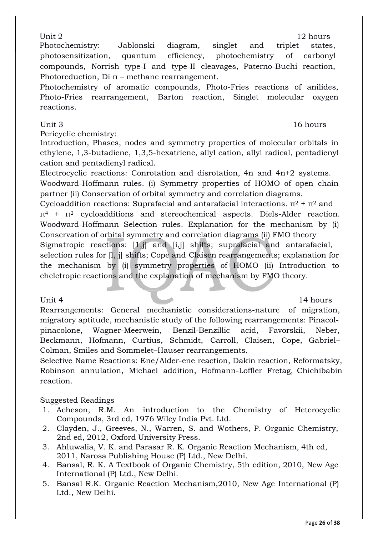Unit 2 12 hours Photochemistry: Jablonski diagram, singlet and triplet states, photosensitization, quantum efficiency, photochemistry of carbonyl compounds, Norrish type-I and type-II cleavages, Paterno-Buchi reaction, Photoreduction,  $Di \pi$  – methane rearrangement.

Photochemistry of aromatic compounds, Photo-Fries reactions of anilides, Photo-Fries rearrangement, Barton reaction, Singlet molecular oxygen reactions.

Pericyclic chemistry:

Introduction, Phases, nodes and symmetry properties of molecular orbitals in ethylene, 1,3-butadiene, 1,3,5-hexatriene, allyl cation, allyl radical, pentadienyl cation and pentadienyl radical.

Electrocyclic reactions: Conrotation and disrotation, 4n and 4n+2 systems. Woodward-Hoffmann rules. (i) Symmetry properties of HOMO of open chain partner (ii) Conservation of orbital symmetry and correlation diagrams.

Cycloaddition reactions: Suprafacial and antarafacial interactions.  $π<sup>2</sup> + π<sup>2</sup>$  and  $\pi^4$  +  $\pi^2$  cycloadditions and stereochemical aspects. Diels-Alder reaction. Woodward-Hoffmann Selection rules. Explanation for the mechanism by (i) Conservation of orbital symmetry and correlation diagrams (ii) FMO theory Sigmatropic reactions: [1,j] and [i,j] shifts; suprafacial and antarafacial, selection rules for [l, j] shifts; Cope and Claisen rearrangements; explanation for the mechanism by (i) symmetry properties of HOMO (ii) Introduction to cheletropic reactions and the explanation of mechanism by FMO theory.

Unit 4 14 hours

Rearrangements: General mechanistic considerations-nature of migration, migratory aptitude, mechanistic study of the following rearrangements: Pinacolpinacolone, Wagner-Meerwein, Benzil-Benzillic acid, Favorskii, Neber, Beckmann, Hofmann, Curtius, Schmidt, Carroll, Claisen, Cope, Gabriel– Colman, Smiles and Sommelet–Hauser rearrangements.

Selective Name Reactions: Ene/Alder-ene reaction, Dakin reaction, Reformatsky, Robinson annulation, Michael addition, Hofmann-Loffler Fretag, Chichibabin reaction.

Suggested Readings

- 1. Acheson, R.M. An introduction to the Chemistry of Heterocyclic Compounds, 3rd ed, 1976 Wiley India Pvt. Ltd.
- 2. Clayden, J., Greeves, N., Warren, S. and Wothers, P. Organic Chemistry, 2nd ed, 2012, Oxford University Press.
- 3. Ahluwalia, V. K. and Parasar R. K. Organic Reaction Mechanism, 4th ed, 2011, Narosa Publishing House (P) Ltd., New Delhi.
- 4. Bansal, R. K. A Textbook of Organic Chemistry, 5th edition, 2010, New Age International (P) Ltd., New Delhi.
- 5. Bansal R.K. Organic Reaction Mechanism,2010, New Age International (P) Ltd., New Delhi.

### Unit 3 and 16 hours and 16 hours and 16 hours and 16 hours and 16 hours and 16 hours and 16 hours and 16 hours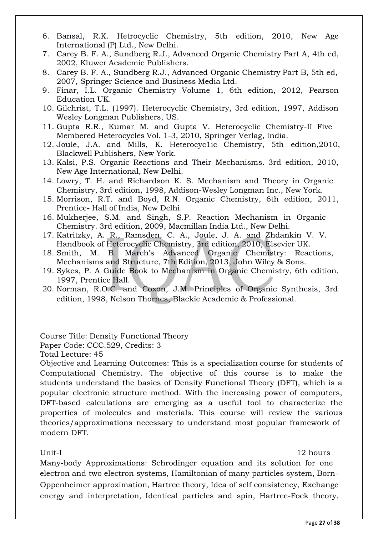- 6. Bansal, R.K. Hetrocyclic Chemistry, 5th edition, 2010, New Age International (P) Ltd., New Delhi.
- 7. Carey B. F. A., Sundberg R.J., Advanced Organic Chemistry Part A, 4th ed, 2002, Kluwer Academic Publishers.
- 8. Carey B. F. A., Sundberg R.J., Advanced Organic Chemistry Part B, 5th ed, 2007, Springer Science and Business Media Ltd.
- 9. Finar, I.L. Organic Chemistry Volume 1, 6th edition, 2012, Pearson Education UK.
- 10. Gilchrist, T.L. (1997). Heterocyclic Chemistry, 3rd edition, 1997, Addison Wesley Longman Publishers, US.
- 11. Gupta R.R., Kumar M. and Gupta V. Heterocyclic Chemistry-II Five Membered Heterocycles Vol. 1-3, 2010, Springer Verlag, India.
- 12. Joule, J.A. and Mills, K. Heterocyc1ic Chemistry, 5th edition,2010, Blackwell Publishers, New York.
- 13. Kalsi, P.S. Organic Reactions and Their Mechanisms. 3rd edition, 2010, New Age International, New Delhi.
- 14. Lowry, T. H. and Richardson K. S. Mechanism and Theory in Organic Chemistry, 3rd edition, 1998, Addison-Wesley Longman Inc., New York.
- 15. Morrison, R.T. and Boyd, R.N. Organic Chemistry, 6th edition, 2011, Prentice- Hall of India, New Delhi.
- 16. Mukherjee, S.M. and Singh, S.P. Reaction Mechanism in Organic Chemistry. 3rd edition, 2009, Macmillan India Ltd., New Delhi.
- 17. Katritzky, A. R., Ramsden, C. A., Joule, J. A. and Zhdankin V. V. Handbook of Heterocyclic Chemistry, 3rd edition, 2010, Elsevier UK.
- 18. Smith, M. B. March's Advanced Organic Chemistry: Reactions, Mechanisms and Structure, 7th Edition, 2013, John Wiley & Sons.
- 19. Sykes, P. A Guide Book to Mechanism in Organic Chemistry, 6th edition, 1997, Prentice Hall.
- 20. Norman, R.O.C. and Coxon, J.M. Principles of Organic Synthesis, 3rd edition, 1998, Nelson Thornes, Blackie Academic & Professional.

Course Title: Density Functional Theory

Paper Code: CCC.529, Credits: 3

Total Lecture: 45

Objective and Learning Outcomes: This is a specialization course for students of Computational Chemistry. The objective of this course is to make the students understand the basics of Density Functional Theory (DFT), which is a popular electronic structure method. With the increasing power of computers, DFT-based calculations are emerging as a useful tool to characterize the properties of molecules and materials. This course will review the various theories/approximations necessary to understand most popular framework of modern DFT.

Unit-I 12 hours

Many-body Approximations: Schrodinger equation and its solution for one electron and two electron systems, Hamiltonian of many particles system, Born-Oppenheimer approximation, Hartree theory, Idea of self consistency, Exchange energy and interpretation, Identical particles and spin, Hartree-Fock theory,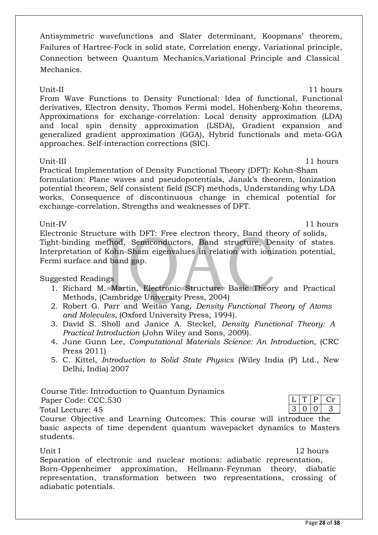Antisymmetric wavefunctions and Slater determinant, Koopmans' theorem, Failures of Hartree-Fock in solid state, Correlation energy, Variational principle, Connection between Quantum Mechanics,Variational Principle and Classical Mechanics.

Unit-II 11 hours From Wave Functions to Density Functional: Idea of functional, Functional derivatives, Electron density, Thomos Fermi model, Hohenberg-Kohn theorems, Approximations for exchange-correlation: Local density approximation (LDA) and local spin density approximation (LSDA), Gradient expansion and generalized gradient approximation (GGA), Hybrid functionals and meta-GGA approaches. Self-interaction corrections (SIC).

Unit-III 11 hours

Practical Implementation of Density Functional Theory (DFT): Kohn-Sham formulation: Plane waves and pseudopotentials, Janak's theorem, Ionization potential theorem, Self consistent field (SCF) methods, Understanding why LDA works, Consequence of discontinuous change in chemical potential for exchange-correlation, Strengths and weaknesses of DFT.

Unit-IV 11 hours

Electronic Structure with DFT: Free electron theory, Band theory of solids, Tight-binding method, Semiconductors, Band structure, Density of states. Interpretation of Kohn-Sham eigenvalues in relation with ionization potential, Fermi surface and band gap.

## Suggested Readings

- 1. Richard M. Martin, Electronic Structure: Basic Theory and Practical Methods, (Cambridge University Press, 2004)
- 2. Robert G. Parr and Weitao Yang, *Density Functional Theory of Atoms and Molecules*, (Oxford University Press, 1994).
- 3. David S. Sholl and Janice A. Steckel, *Density Functional Theory: A Practical Introduction* (John Wiley and Sons, 2009).
- 4. June Gunn Lee, *Computational Materials Science: An Introduction*, (CRC Press 2011)
- 5. C. Kittel, *Introduction to Solid State Physics* (Wiley India (P) Ltd., New Delhi, India) 2007

Course Title: Introduction to Quantum Dynamics Paper Code: CCC.530

| Total Lecture: 45 |  |
|-------------------|--|

Course Objective and Learning Outcomes: This course will introduce the basic aspects of time dependent quantum wavepacket dynamics to Masters students.

Unit I 12 hours

 $L[T|P|Cr$  $3 | 0 | 0 | 3$ 

Separation of electronic and nuclear motions: adiabatic representation, Born-Oppenheimer approximation, Hellmann-Feynman theory, diabatic representation, transformation between two representations, crossing of adiabatic potentials.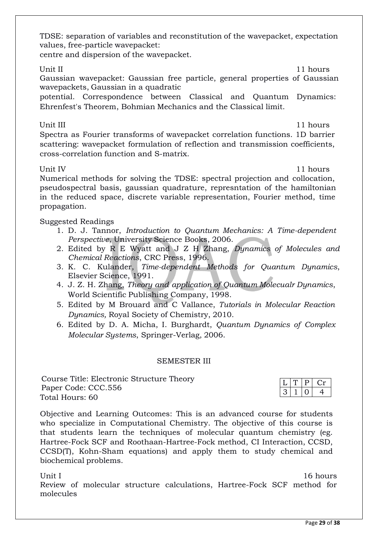TDSE: separation of variables and reconstitution of the wavepacket, expectation values, free-particle wavepacket:

centre and dispersion of the wavepacket.

Unit II 11 hours

Gaussian wavepacket: Gaussian free particle, general properties of Gaussian wavepackets, Gaussian in a quadratic

potential. Correspondence between Classical and Quantum Dynamics: Ehrenfest's Theorem, Bohmian Mechanics and the Classical limit.

Unit III 11 hours

Spectra as Fourier transforms of wavepacket correlation functions. 1D barrier scattering: wavepacket formulation of reflection and transmission coefficients, cross-correlation function and S-matrix.

Unit IV and the set of the set of the set of the set of the set of the set of the set of the set of the set of the set of the set of the set of the set of the set of the set of the set of the set of the set of the set of t

Numerical methods for solving the TDSE: spectral projection and collocation, pseudospectral basis, gaussian quadrature, represntation of the hamiltonian in the reduced space, discrete variable representation, Fourier method, time propagation.

Suggested Readings

- 1. D. J. Tannor, *Introduction to Quantum Mechanics: A Time-dependent Perspective*, University Science Books, 2006.
- 2. Edited by R E Wyatt and J Z H Zhang, *Dynamics of Molecules and Chemical Reactions*, CRC Press, 1996.
- 3. K. C. Kulander, *Time-dependent Methods for Quantum Dynamics*, Elsevier Science, 1991.
- 4. J. Z. H. Zhang, *Theory and application of Quantum Molecualr Dynamics*, World Scientific Publishing Company, 1998.
- 5. Edited by M Brouard and C Vallance, *Tutorials in Molecular Reaction Dynamics,* Royal Society of Chemistry, 2010.
- 6. Edited by D. A. Micha, I. Burghardt, *Quantum Dynamics of Complex Molecular Systems*, Springer-Verlag, 2006.

### SEMESTER III

Course Title: Electronic Structure Theory Paper Code: CCC.556 Total Hours: 60

Objective and Learning Outcomes: This is an advanced course for students who specialize in Computational Chemistry. The objective of this course is that students learn the techniques of molecular quantum chemistry (eg. Hartree-Fock SCF and Roothaan-Hartree-Fock method, CI Interaction, CCSD, CCSD(T), Kohn-Sham equations) and apply them to study chemical and biochemical problems.

Unit I and 16 hours and 16 hours and 16 hours and 16 hours and 16 hours and 16 hours and 16 hours and 16 hours Review of molecular structure calculations, Hartree-Fock SCF method for molecules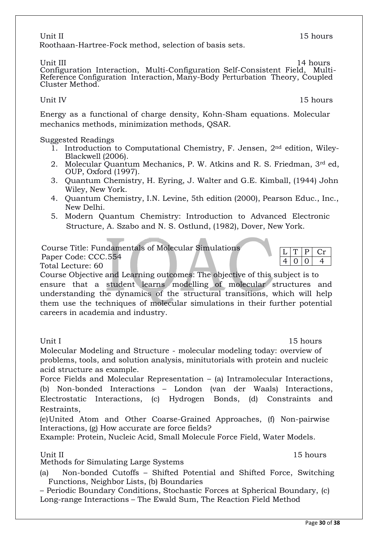### Unit II and the set of the set of the set of the set of the set of the set of the set of the set of the set of the set of the set of the set of the set of the set of the set of the set of the set of the set of the set of t Roothaan-Hartree-Fock method, selection of basis sets.

Unit III 14 hours Configuration Interaction, Multi-Configuration Self-Consistent Field, Multi-Reference Configuration Interaction, Many-Body Perturbation Theory, Coupled Cluster Method.

Energy as a functional of charge density, Kohn-Sham equations. Molecular mechanics methods, minimization methods, QSAR.

Suggested Readings

- 1. Introduction to Computational Chemistry, F. Jensen, 2nd edition, Wiley-Blackwell (2006).
- 2. Molecular Quantum Mechanics, P. W. Atkins and R. S. Friedman, 3rd ed, OUP, Oxford (1997).
- 3. Quantum Chemistry, H. Eyring, J. Walter and G.E. Kimball, (1944) John Wiley, New York.
- 4. Quantum Chemistry, I.N. Levine, 5th edition (2000), Pearson Educ., Inc., New Delhi.
- 5. Modern Quantum Chemistry: Introduction to Advanced Electronic Structure, A. Szabo and N. S. Ostlund, (1982), Dover, New York.

Course Title: Fundamentals of Molecular Simulations

Paper Code: CCC.554

Total Lecture: 60

Course Objective and Learning outcomes: The objective of this subject is to ensure that a student learns modelling of molecular structures and understanding the dynamics of the structural transitions, which will help them use the techniques of molecular simulations in their further potential careers in academia and industry.

Unit I 15 hours Molecular Modeling and Structure - molecular modeling today: overview of problems, tools, and solution analysis, minitutorials with protein and nucleic acid structure as example.

Force Fields and Molecular Representation – (a) Intramolecular Interactions, (b) Non-bonded Interactions – London (van der Waals) Interactions, Electrostatic Interactions, (c) Hydrogen Bonds, (d) Constraints and Restraints,

(e)United Atom and Other Coarse-Grained Approaches, (f) Non-pairwise Interactions, (g) How accurate are force fields?

Example: Protein, Nucleic Acid, Small Molecule Force Field, Water Models.

Unit II 15 hours Methods for Simulating Large Systems

(a) Non-bonded Cutoffs – Shifted Potential and Shifted Force, Switching Functions, Neighbor Lists, (b) Boundaries

– Periodic Boundary Conditions, Stochastic Forces at Spherical Boundary, (c) Long-range Interactions – The Ewald Sum, The Reaction Field Method

Unit IV and the Unit IV and the Unit IV and the Unit IV and the Unit IV and the Unit IV and the Unit IV and the U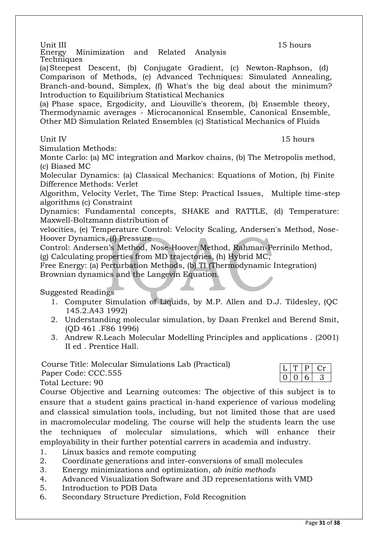Unit III 15 hours<br>Energy Minimization and Related Analysis 15 hours Minimization and Related Analysis Techniques

(a)Steepest Descent, (b) Conjugate Gradient, (c) Newton-Raphson, (d) Comparison of Methods, (e) Advanced Techniques: Simulated Annealing, Branch-and-bound, Simplex, (f) What's the big deal about the minimum? Introduction to Equilibrium Statistical Mechanics

(a) Phase space, Ergodicity, and Liouville's theorem, (b) Ensemble theory, Thermodynamic averages - Microcanonical Ensemble, Canonical Ensemble, Other MD Simulation Related Ensembles (c) Statistical Mechanics of Fluids

Simulation Methods:

Monte Carlo: (a) MC integration and Markov chains, (b) The Metropolis method, (c) Biased MC

Molecular Dynamics: (a) Classical Mechanics: Equations of Motion, (b) Finite Difference Methods: Verlet

Algorithm, Velocity Verlet, The Time Step: Practical Issues, Multiple time-step algorithms (c) Constraint

Dynamics: Fundamental concepts, SHAKE and RATTLE, (d) Temperature: Maxwell-Boltzmann distribution of

velocities, (e) Temperature Control: Velocity Scaling, Andersen's Method, Nose-Hoover Dynamics, (f) Pressure

Control: Andersen's Method, Nose-Hoover Method, Rahman-Perrinilo Method, (g) Calculating properties from MD trajectories, (h) Hybrid MC,

Free Energy: (a) Perturbation Methods, (b) TI (Thermodynamic Integration) Brownian dynamics and the Langevin Equation.

Suggested Readings

- 1. Computer Simulation of Liquids, by M.P. Allen and D.J. Tildesley, (QC 145.2.A43 1992)
- 2. Understanding molecular simulation, by Daan Frenkel and Berend Smit, (QD 461 .F86 1996)
- 3. Andrew R.Leach Molecular Modelling Principles and applications . (2001) II ed . Prentice Hall.

Course Title: Molecular Simulations Lab (Practical)

Paper Code: CCC.555

Total Lecture: 90

Course Objective and Learning outcomes: The objective of this subject is to ensure that a student gains practical in-hand experience of various modeling and classical simulation tools, including, but not limited those that are used in macromolecular modeling. The course will help the students learn the use the techniques of molecular simulations, which will enhance their employability in their further potential carrers in academia and industry.

- 1. Linux basics and remote computing
- 2. Coordinate generations and inter-conversions of small molecules
- 3. Energy minimizations and optimization, *ab initio methods*
- 4. Advanced Visualization Software and 3D representations with VMD
- 5. Introduction to PDB Data
- 6. Secondary Structure Prediction, Fold Recognition

# $T | P | Cr$  $0 6 3$

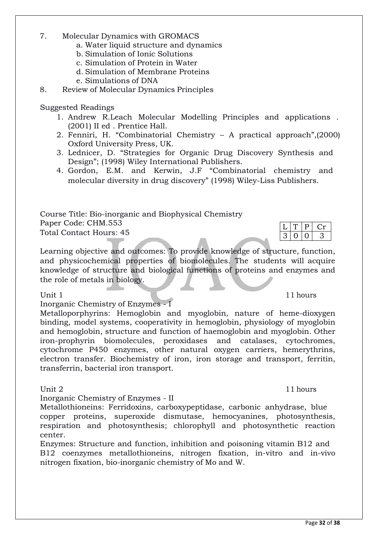Page **32** of **38**

### 7. Molecular Dynamics with GROMACS

- a. Water liquid structure and dynamics
- b. Simulation of Ionic Solutions
- c. Simulation of Protein in Water
- d. Simulation of Membrane Proteins
- e. Simulations of DNA
- 8. Review of Molecular Dynamics Principles

### Suggested Readings

- 1. Andrew R.Leach Molecular Modelling Principles and applications . (2001) II ed . Prentice Hall.
- 2. Fenniri, H. "Combinatorial Chemistry A practical approach",(2000) Oxford University Press, UK.
- 3. Lednicer, D. "Strategies for Organic Drug Discovery Synthesis and Design"; (1998) Wiley International Publishers.
- 4. Gordon, E.M. and Kerwin, J.F "Combinatorial chemistry and molecular diversity in drug discovery" (1998) Wiley-Liss Publishers.

Course Title: Bio-inorganic and Biophysical Chemistry Paper Code: CHM.553 Total Contact Hours: 45

Learning objective and outcomes: To provide knowledge of structure, function, and physicochemical properties of biomolecules. The students will acquire knowledge of structure and biological functions of proteins and enzymes and the role of metals in biology.

Inorganic Chemistry of Enzymes - I

Metalloporphyrins: Hemoglobin and myoglobin, nature of heme-dioxygen binding, model systems, cooperativity in hemoglobin, physiology of myoglobin and hemoglobin, structure and function of haemoglobin and myoglobin. Other iron-prophyrin biomolecules, peroxidases and catalases, cytochromes, cytochrome P450 enzymes, other natural oxygen carriers, hemerythrins, electron transfer. Biochemistry of iron, iron storage and transport, ferritin, transferrin, bacterial iron transport.

Inorganic Chemistry of Enzymes - II

Metallothioneins: Ferridoxins, carboxypeptidase, carbonic anhydrase, blue copper proteins, superoxide dismutase, hemocyanines, photosynthesis, respiration and photosynthesis; chlorophyll and photosynthetic reaction center.

Enzymes: Structure and function, inhibition and poisoning vitamin B12 and B12 coenzymes metallothioneins, nitrogen fixation, in-vitro and in-vivo nitrogen fixation, bio-inorganic chemistry of Mo and W.

Unit 1 11 hours

Unit 2 11 hours

 $T$  P Cr  $3 | 0 | 0 | 3$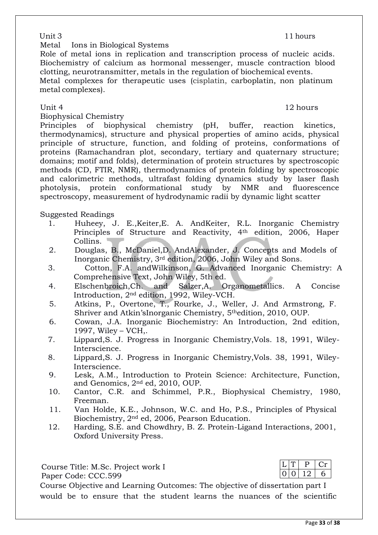Metal Ions in Biological Systems

Role of metal ions in replication and transcription process of nucleic acids. Biochemistry of calcium as hormonal messenger, muscle contraction blood clotting, neurotransmitter, metals in the regulation of biochemical events. Metal complexes for therapeutic uses (cisplatin, carboplatin, non platinum metal complexes).

### Unit 4 12 hours

Biophysical Chemistry

Principles of biophysical chemistry (pH, buffer, reaction kinetics, thermodynamics), structure and physical properties of amino acids, physical principle of structure, function, and folding of proteins, conformations of proteins (Ramachandran plot, secondary, tertiary and quaternary structure; domains; motif and folds), determination of protein structures by spectroscopic methods (CD, FTIR, NMR), thermodynamics of protein folding by spectroscopic and calorimetric methods, ultrafast folding dynamics study by laser flash photolysis, protein conformational study by NMR and fluorescence spectroscopy, measurement of hydrodynamic radii by dynamic light scatter

Suggested Readings

- 1. Huheey, J. E.,Keiter,E. A. AndKeiter, R.L. Inorganic Chemistry Principles of Structure and Reactivity, 4th edition, 2006, Haper Collins.
- 2. Douglas, B., McDaniel,D. AndAlexander, J. Concepts and Models of Inorganic Chemistry, 3rd edition, 2006, John Wiley and Sons.
- 3. Cotton, F.A. andWilkinson, G. Advanced Inorganic Chemistry: A Comprehensive Text, John Wiley, 5th ed.
- 4. Elschenbroich,Ch. and Salzer,A. Organometallics. A Concise Introduction, 2nd edition, 1992, Wiley-VCH.
- 5. Atkins, P., Overtone, T., Rourke, J., Weller, J. And Armstrong, F. Shriver and Atkin'sInorganic Chemistry, 5thedition, 2010, OUP.
- 6. Cowan, J.A. Inorganic Biochemistry: An Introduction, 2nd edition, 1997, Wiley – VCH,.
- 7. Lippard,S. J. Progress in Inorganic Chemistry,Vols. 18, 1991, Wiley-Interscience.
- 8. Lippard,S. J. Progress in Inorganic Chemistry,Vols. 38, 1991, Wiley-Interscience.
- 9. Lesk, A.M., Introduction to Protein Science: Architecture, Function, and Genomics, 2nd ed, 2010, OUP.
- 10. Cantor, C.R. and Schimmel, P.R., Biophysical Chemistry, 1980, Freeman.
- 11. Van Holde, K.E., Johnson, W.C. and Ho, P.S., Principles of Physical Biochemistry, 2nd ed, 2006, Pearson Education.
- 12. Harding, S.E. and Chowdhry, B. Z. Protein-Ligand Interactions, 2001, Oxford University Press.

Course Title: M.Sc. Project work I Paper Code: CCC.599 Course Objective and Learning Outcomes: The objective of dissertation part I would be to ensure that the student learns the nuances of the scientific

 $T$  P  $cr$  $0 \mid 12 \mid 6$ 

Unit 3 11 hours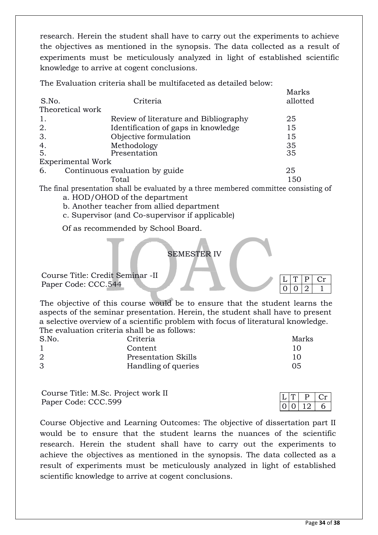research. Herein the student shall have to carry out the experiments to achieve the objectives as mentioned in the synopsis. The data collected as a result of experiments must be meticulously analyzed in light of established scientific knowledge to arrive at cogent conclusions.

The Evaluation criteria shall be multifaceted as detailed below:

| S.No.           | Criteria                              | Marks<br>allotted |
|-----------------|---------------------------------------|-------------------|
|                 | Theoretical work                      |                   |
| 1.              | Review of literature and Bibliography | 25                |
| 2.              | Identification of gaps in knowledge   | 15                |
| 3.              | Objective formulation                 | 15                |
| $\frac{4}{5}$ . | Methodology                           | 35                |
|                 | Presentation                          | 35                |
|                 | <b>Experimental Work</b>              |                   |
| 6.              | Continuous evaluation by guide        | 25                |
|                 | Total                                 | 150               |
|                 |                                       |                   |

The final presentation shall be evaluated by a three membered committee consisting of a. HOD/OHOD of the department

- b. Another teacher from allied department
- c. Supervisor (and Co-supervisor if applicable)

Of as recommended by School Board.

### SEMESTER IV

Course Title: Credit Seminar -II Paper Code: CCC.544

The objective of this course would be to ensure that the student learns the aspects of the seminar presentation. Herein, the student shall have to present a selective overview of a scientific problem with focus of literatural knowledge. The evaluation criteria shall be as follows:

| Marks |  |  |  |  |
|-------|--|--|--|--|
| 10    |  |  |  |  |
| 10    |  |  |  |  |
| 05    |  |  |  |  |
|       |  |  |  |  |

Course Title: M.Sc. Project work II Paper Code: CCC.599

Course Objective and Learning Outcomes: The objective of dissertation part II would be to ensure that the student learns the nuances of the scientific research. Herein the student shall have to carry out the experiments to achieve the objectives as mentioned in the synopsis. The data collected as a result of experiments must be meticulously analyzed in light of established scientific knowledge to arrive at cogent conclusions.

 $Cr$ 

 $0 | 0 | 2 | 1$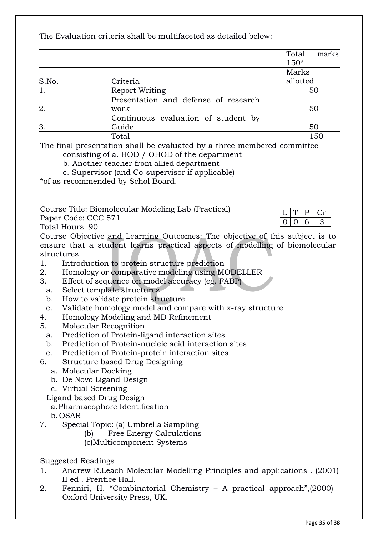The Evaluation criteria shall be multifaceted as detailed below:

|               |                                      | Total<br>marks |
|---------------|--------------------------------------|----------------|
|               |                                      | $150*$         |
|               |                                      | Marks          |
| S.No.         | Criteria                             | allotted       |
| '1.           | <b>Report Writing</b>                | 50             |
|               | Presentation and defense of research |                |
| 2.            | work                                 | 50             |
|               | Continuous evaluation of student by  |                |
| $\mathsf B$ . | Guide                                | 50             |
|               | Total                                | 150            |

The final presentation shall be evaluated by a three membered committee consisting of a. HOD / OHOD of the department

b. Another teacher from allied department

c. Supervisor (and Co-supervisor if applicable)

\*of as recommended by Schol Board.

Course Title: Biomolecular Modeling Lab (Practical)

Paper Code: CCC.571

Total Hours: 90

Course Objective and Learning Outcomes: The objective of this subject is to ensure that a student learns practical aspects of modelling of biomolecular structures.

- 1. Introduction to protein structure prediction
- 2. Homology or comparative modeling using MODELLER
- 3. Effect of sequence on model accuracy (eg. FABP)
	- a. Select template structures
	- b. How to validate protein structure
	- c. Validate homology model and compare with x-ray structure
- 4. Homology Modeling and MD Refinement
- 5. Molecular Recognition
	- a. Prediction of Protein-ligand interaction sites
- b. Prediction of Protein-nucleic acid interaction sites
- c. Prediction of Protein-protein interaction sites
- 6. Structure based Drug Designing
	- a. Molecular Docking
	- b. De Novo Ligand Design
	- c. Virtual Screening
	- Ligand based Drug Design
	- a.Pharmacophore Identification
	- b. QSAR
- 7. Special Topic: (a) Umbrella Sampling
	- (b) Free Energy Calculations
	- (c)Multicomponent Systems

Suggested Readings

- 1. Andrew R.Leach Molecular Modelling Principles and applications . (2001) II ed . Prentice Hall.
- 2. Fenniri, H. "Combinatorial Chemistry A practical approach",(2000) Oxford University Press, UK.

 $Cr$ 

 $0 \mid 6 \mid 3$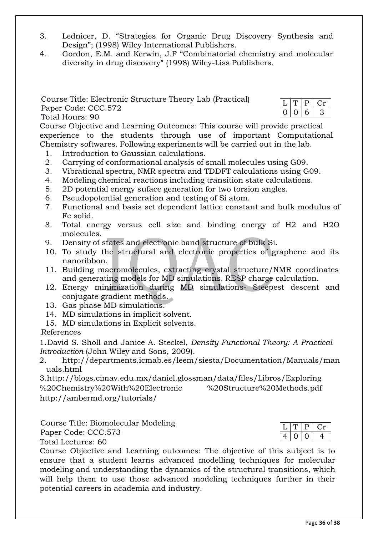- 3. Lednicer, D. "Strategies for Organic Drug Discovery Synthesis and Design"; (1998) Wiley International Publishers.
- 4. Gordon, E.M. and Kerwin, J.F "Combinatorial chemistry and molecular diversity in drug discovery" (1998) Wiley-Liss Publishers.

Course Title: Electronic Structure Theory Lab (Practical) Paper Code: CCC.572 Total Hours: 90

| L |  |  |
|---|--|--|
|   |  |  |

Course Objective and Learning Outcomes: This course will provide practical experience to the students through use of important Computational Chemistry softwares. Following experiments will be carried out in the lab.

- 1. Introduction to Gaussian calculations.
- 2. Carrying of conformational analysis of small molecules using G09.
- 3. Vibrational spectra, NMR spectra and TDDFT calculations using G09.
- 4. Modeling chemical reactions including transition state calculations.
- 5. 2D potential energy suface generation for two torsion angles.
- 6. Pseudopotential generation and testing of Si atom.
- 7. Functional and basis set dependent lattice constant and bulk modulus of Fe solid.
- 8. Total energy versus cell size and binding energy of H2 and H2O molecules.
- 9. Density of states and electronic band structure of bulk Si.
- 10. To study the structural and electronic properties of graphene and its nanoribbon.
- 11. Building macromolecules, extracting crystal structure/NMR coordinates and generating models for MD simulations. RESP charge calculation.
- 12. Energy minimization during MD simulations- Steepest descent and conjugate gradient methods.
- 13. Gas phase MD simulations.
- 14. MD simulations in implicit solvent.
- 15. MD simulations in Explicit solvents.

References

1.David S. Sholl and Janice A. Steckel, *Density Functional Theory: A Practical Introduction* (John Wiley and Sons, 2009).

2. <http://departments.icmab.es/leem/siesta/Documentation/Manuals/man> uals.html

[3.http://blogs.cimav.edu.mx/daniel.glossman/data/files/Libros/Exploring](http://blogs.cimav.edu.mx/daniel.glossman/data/files/Libros/Exploring) %20Chemistry%20With%20Electronic %20Structure%20Methods.pdf <http://ambermd.org/tutorials/>

Course Title: Biomolecular Modeling

Paper Code: CCC.573

Total Lectures: 60



Course Objective and Learning outcomes: The objective of this subject is to ensure that a student learns advanced modelling techniques for molecular modeling and understanding the dynamics of the structural transitions, which will help them to use those advanced modeling techniques further in their potential careers in academia and industry.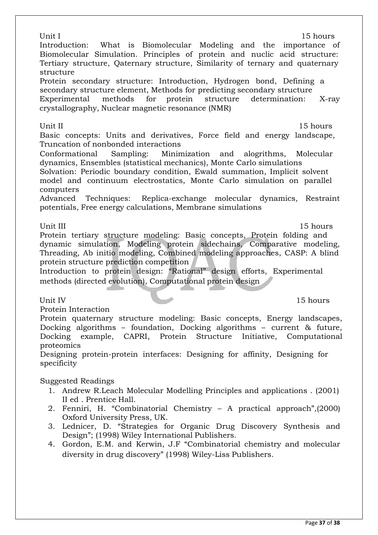| Unit I<br>15 hours<br>Introduction: What is Biomolecular Modeling and the importance of<br>Biomolecular Simulation. Principles of protein and nuclic acid structure:<br>Tertiary structure, Qaternary structure, Similarity of ternary and quaternary<br>structure<br>Protein secondary structure: Introduction, Hydrogen bond, Defining a<br>secondary structure element, Methods for predicting secondary structure<br>Experimental methods for protein structure<br>determination:<br>X-ray<br>crystallography, Nuclear magnetic resonance (NMR)                                            |
|------------------------------------------------------------------------------------------------------------------------------------------------------------------------------------------------------------------------------------------------------------------------------------------------------------------------------------------------------------------------------------------------------------------------------------------------------------------------------------------------------------------------------------------------------------------------------------------------|
| Unit II<br>15 hours<br>Basic concepts: Units and derivatives, Force field and energy landscape,<br>Truncation of nonbonded interactions<br>Sampling: Minimization and alogrithms, Molecular<br>Conformational<br>dynamics, Ensembles (statistical mechanics), Monte Carlo simulations<br>Solvation: Periodic boundary condition, Ewald summation, Implicit solvent<br>model and continuum electrostatics, Monte Carlo simulation on parallel<br>computers<br>Advanced Techniques: Replica-exchange molecular dynamics, Restraint<br>potentials, Free energy calculations, Membrane simulations |
| Unit III<br>15 hours<br>Protein tertiary structure modeling: Basic concepts, Protein folding and<br>dynamic simulation, Modeling protein sidechains, Comparative modeling,<br>Threading, Ab initio modeling, Combined modeling approaches, CASP: A blind<br>protein structure prediction competition<br>Introduction to protein design: "Rational" design efforts, Experimental<br>methods (directed evolution), Computational protein design                                                                                                                                                  |
| Unit IV<br>15 hours<br>Protein Interaction<br>Protein quaternary structure modeling: Basic concepts, Energy landscapes,<br>Docking algorithms - foundation, Docking algorithms - current & future,<br>Docking example, CAPRI, Protein Structure Initiative, Computational<br>proteomics<br>Designing protein-protein interfaces: Designing for affinity, Designing for<br>specificity                                                                                                                                                                                                          |
| Suggested Readings<br>1. Andrew R. Leach Molecular Modelling Principles and applications . (2001)<br>II ed. Prentice Hall.<br>2. Fenniri, H. "Combinatorial Chemistry - A practical approach", (2000)<br>Oxford University Press, UK.<br>3. Lednicer, D. "Strategies for Organic Drug Discovery Synthesis and<br>Design"; (1998) Wiley International Publishers.                                                                                                                                                                                                                               |

4. Gordon, E.M. and Kerwin, J.F "Combinatorial chemistry and molecular diversity in drug discovery" (1998) Wiley-Liss Publishers.